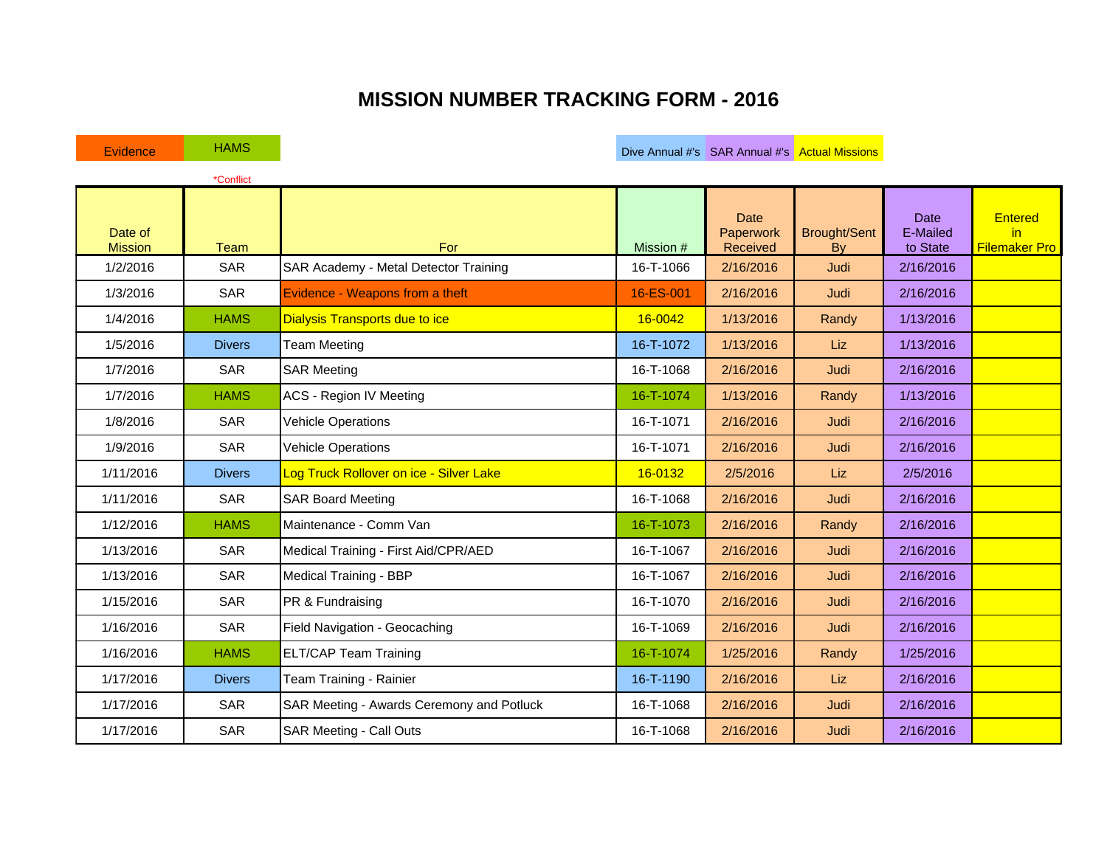## **MISSION NUMBER TRACKING FORM - 2016**

Evidence HAMS HAMS HAMS Evidence HAMS HAMS HAMS Actual Missions in the Dive Annual #'s SAR Annual #'s Actual Missions

|                           | *Conflict     |                                           |           |                                      |                           |                                     |                                              |
|---------------------------|---------------|-------------------------------------------|-----------|--------------------------------------|---------------------------|-------------------------------------|----------------------------------------------|
| Date of<br><b>Mission</b> | <b>Team</b>   | For                                       | Mission # | <b>Date</b><br>Paperwork<br>Received | <b>Brought/Sent</b><br>Bv | <b>Date</b><br>E-Mailed<br>to State | <b>Entered</b><br>in<br><b>Filemaker Pro</b> |
| 1/2/2016                  | <b>SAR</b>    | SAR Academy - Metal Detector Training     | 16-T-1066 | 2/16/2016                            | Judi                      | 2/16/2016                           |                                              |
| 1/3/2016                  | SAR           | Evidence - Weapons from a theft           | 16-ES-001 | 2/16/2016                            | Judi                      | 2/16/2016                           |                                              |
| 1/4/2016                  | <b>HAMS</b>   | <b>Dialysis Transports due to ice</b>     | 16-0042   | 1/13/2016                            | Randy                     | 1/13/2016                           |                                              |
| 1/5/2016                  | <b>Divers</b> | <b>Team Meeting</b>                       | 16-T-1072 | 1/13/2016                            | Liz                       | 1/13/2016                           |                                              |
| 1/7/2016                  | <b>SAR</b>    | <b>SAR Meeting</b>                        | 16-T-1068 | 2/16/2016                            | Judi                      | 2/16/2016                           |                                              |
| 1/7/2016                  | <b>HAMS</b>   | <b>ACS - Region IV Meeting</b>            | 16-T-1074 | 1/13/2016                            | Randy                     | 1/13/2016                           |                                              |
| 1/8/2016                  | <b>SAR</b>    | <b>Vehicle Operations</b>                 | 16-T-1071 | 2/16/2016                            | Judi                      | 2/16/2016                           |                                              |
| 1/9/2016                  | <b>SAR</b>    | <b>Vehicle Operations</b>                 | 16-T-1071 | 2/16/2016                            | Judi                      | 2/16/2016                           |                                              |
| 1/11/2016                 | <b>Divers</b> | Log Truck Rollover on ice - Silver Lake   | 16-0132   | 2/5/2016                             | Liz                       | 2/5/2016                            |                                              |
| 1/11/2016                 | <b>SAR</b>    | <b>SAR Board Meeting</b>                  | 16-T-1068 | 2/16/2016                            | Judi                      | 2/16/2016                           |                                              |
| 1/12/2016                 | <b>HAMS</b>   | Maintenance - Comm Van                    | 16-T-1073 | 2/16/2016                            | Randy                     | 2/16/2016                           |                                              |
| 1/13/2016                 | <b>SAR</b>    | Medical Training - First Aid/CPR/AED      | 16-T-1067 | 2/16/2016                            | Judi                      | 2/16/2016                           |                                              |
| 1/13/2016                 | <b>SAR</b>    | Medical Training - BBP                    | 16-T-1067 | 2/16/2016                            | Judi                      | 2/16/2016                           |                                              |
| 1/15/2016                 | <b>SAR</b>    | PR & Fundraising                          | 16-T-1070 | 2/16/2016                            | Judi                      | 2/16/2016                           |                                              |
| 1/16/2016                 | <b>SAR</b>    | Field Navigation - Geocaching             | 16-T-1069 | 2/16/2016                            | Judi                      | 2/16/2016                           |                                              |
| 1/16/2016                 | <b>HAMS</b>   | <b>ELT/CAP Team Training</b>              | 16-T-1074 | 1/25/2016                            | Randy                     | 1/25/2016                           |                                              |
| 1/17/2016                 | <b>Divers</b> | Team Training - Rainier                   | 16-T-1190 | 2/16/2016                            | <b>Liz</b>                | 2/16/2016                           |                                              |
| 1/17/2016                 | <b>SAR</b>    | SAR Meeting - Awards Ceremony and Potluck | 16-T-1068 | 2/16/2016                            | Judi                      | 2/16/2016                           |                                              |
| 1/17/2016                 | <b>SAR</b>    | <b>SAR Meeting - Call Outs</b>            | 16-T-1068 | 2/16/2016                            | Judi                      | 2/16/2016                           |                                              |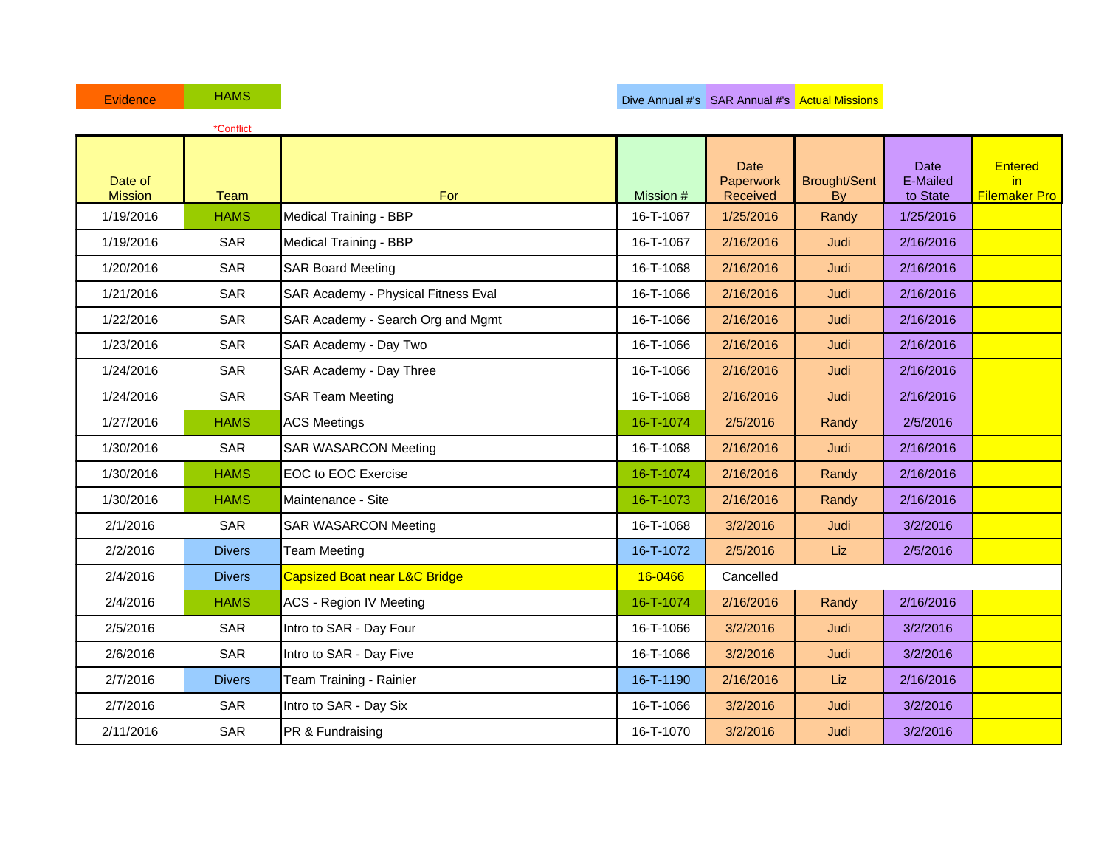|                           | *Conflict     |                                          |           |                                      |                           |                                     |                                              |
|---------------------------|---------------|------------------------------------------|-----------|--------------------------------------|---------------------------|-------------------------------------|----------------------------------------------|
| Date of<br><b>Mission</b> | <b>Team</b>   | For                                      | Mission # | <b>Date</b><br>Paperwork<br>Received | <b>Brought/Sent</b><br>By | <b>Date</b><br>E-Mailed<br>to State | <b>Entered</b><br>in<br><b>Filemaker Pro</b> |
| 1/19/2016                 | <b>HAMS</b>   | Medical Training - BBP                   | 16-T-1067 | 1/25/2016                            | Randy                     | 1/25/2016                           |                                              |
| 1/19/2016                 | <b>SAR</b>    | Medical Training - BBP                   | 16-T-1067 | 2/16/2016                            | Judi                      | 2/16/2016                           |                                              |
| 1/20/2016                 | <b>SAR</b>    | <b>SAR Board Meeting</b>                 | 16-T-1068 | 2/16/2016                            | Judi                      | 2/16/2016                           |                                              |
| 1/21/2016                 | <b>SAR</b>    | SAR Academy - Physical Fitness Eval      | 16-T-1066 | 2/16/2016                            | Judi                      | 2/16/2016                           |                                              |
| 1/22/2016                 | <b>SAR</b>    | SAR Academy - Search Org and Mgmt        | 16-T-1066 | 2/16/2016                            | Judi                      | 2/16/2016                           |                                              |
| 1/23/2016                 | <b>SAR</b>    | SAR Academy - Day Two                    | 16-T-1066 | 2/16/2016                            | Judi                      | 2/16/2016                           |                                              |
| 1/24/2016                 | <b>SAR</b>    | SAR Academy - Day Three                  | 16-T-1066 | 2/16/2016                            | Judi                      | 2/16/2016                           |                                              |
| 1/24/2016                 | <b>SAR</b>    | <b>SAR Team Meeting</b>                  | 16-T-1068 | 2/16/2016                            | Judi                      | 2/16/2016                           |                                              |
| 1/27/2016                 | <b>HAMS</b>   | <b>ACS Meetings</b>                      | 16-T-1074 | 2/5/2016                             | Randy                     | 2/5/2016                            |                                              |
| 1/30/2016                 | <b>SAR</b>    | <b>SAR WASARCON Meeting</b>              | 16-T-1068 | 2/16/2016                            | Judi                      | 2/16/2016                           |                                              |
| 1/30/2016                 | <b>HAMS</b>   | <b>EOC to EOC Exercise</b>               | 16-T-1074 | 2/16/2016                            | Randy                     | 2/16/2016                           |                                              |
| 1/30/2016                 | <b>HAMS</b>   | Maintenance - Site                       | 16-T-1073 | 2/16/2016                            | Randy                     | 2/16/2016                           |                                              |
| 2/1/2016                  | <b>SAR</b>    | <b>SAR WASARCON Meeting</b>              | 16-T-1068 | 3/2/2016                             | Judi                      | 3/2/2016                            |                                              |
| 2/2/2016                  | <b>Divers</b> | <b>Team Meeting</b>                      | 16-T-1072 | 2/5/2016                             | Liz                       | 2/5/2016                            |                                              |
| 2/4/2016                  | <b>Divers</b> | <b>Capsized Boat near L&amp;C Bridge</b> | 16-0466   | Cancelled                            |                           |                                     |                                              |
| 2/4/2016                  | <b>HAMS</b>   | <b>ACS - Region IV Meeting</b>           | 16-T-1074 | 2/16/2016                            | Randy                     | 2/16/2016                           |                                              |
| 2/5/2016                  | <b>SAR</b>    | Intro to SAR - Day Four                  | 16-T-1066 | 3/2/2016                             | Judi                      | 3/2/2016                            |                                              |
| 2/6/2016                  | SAR           | Intro to SAR - Day Five                  | 16-T-1066 | 3/2/2016                             | Judi                      | 3/2/2016                            |                                              |
| 2/7/2016                  | <b>Divers</b> | Team Training - Rainier                  | 16-T-1190 | 2/16/2016                            | Liz                       | 2/16/2016                           |                                              |
| 2/7/2016                  | <b>SAR</b>    | Intro to SAR - Day Six                   | 16-T-1066 | 3/2/2016                             | Judi                      | 3/2/2016                            |                                              |
| 2/11/2016                 | <b>SAR</b>    | PR & Fundraising                         | 16-T-1070 | 3/2/2016                             | Judi                      | 3/2/2016                            |                                              |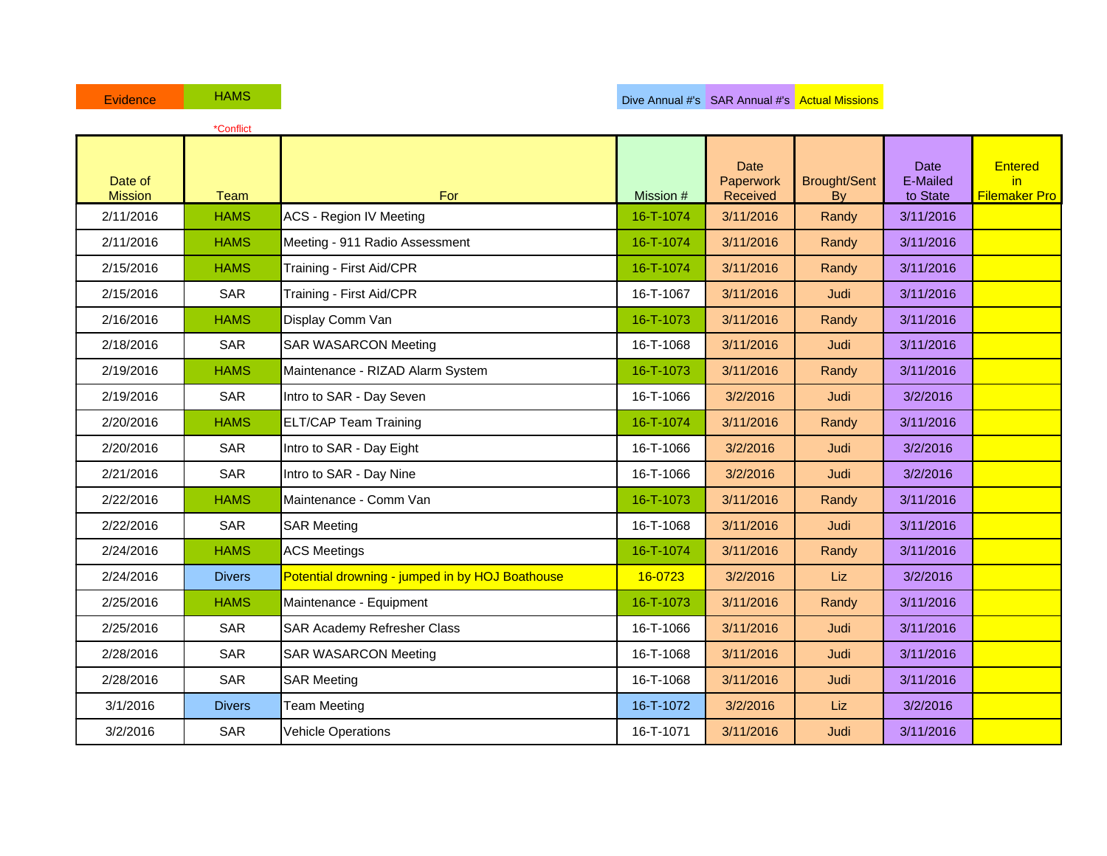| Evidence                  | <b>HAMS</b>   |                                                 |           |                                      | Dive Annual #'s SAR Annual #'s Actual Missions |                                     |                                               |
|---------------------------|---------------|-------------------------------------------------|-----------|--------------------------------------|------------------------------------------------|-------------------------------------|-----------------------------------------------|
|                           | *Conflict     |                                                 |           |                                      |                                                |                                     |                                               |
| Date of<br><b>Mission</b> | Team          | For                                             | Mission # | <b>Date</b><br>Paperwork<br>Received | <b>Brought/Sent</b><br>By                      | <b>Date</b><br>E-Mailed<br>to State | <b>Entered</b><br>in.<br><b>Filemaker Pro</b> |
| 2/11/2016                 | <b>HAMS</b>   | <b>ACS - Region IV Meeting</b>                  | 16-T-1074 | 3/11/2016                            | Randy                                          | 3/11/2016                           |                                               |
| 2/11/2016                 | <b>HAMS</b>   | Meeting - 911 Radio Assessment                  | 16-T-1074 | 3/11/2016                            | Randy                                          | 3/11/2016                           |                                               |
| 2/15/2016                 | <b>HAMS</b>   | Training - First Aid/CPR                        | 16-T-1074 | 3/11/2016                            | Randy                                          | 3/11/2016                           |                                               |
| 2/15/2016                 | <b>SAR</b>    | Training - First Aid/CPR                        | 16-T-1067 | 3/11/2016                            | Judi                                           | 3/11/2016                           |                                               |
| 2/16/2016                 | <b>HAMS</b>   | Display Comm Van                                | 16-T-1073 | 3/11/2016                            | Randy                                          | 3/11/2016                           |                                               |
| 2/18/2016                 | <b>SAR</b>    | <b>SAR WASARCON Meeting</b>                     | 16-T-1068 | 3/11/2016                            | Judi                                           | 3/11/2016                           |                                               |
| 2/19/2016                 | <b>HAMS</b>   | Maintenance - RIZAD Alarm System                | 16-T-1073 | 3/11/2016                            | Randy                                          | 3/11/2016                           |                                               |
| 2/19/2016                 | <b>SAR</b>    | Intro to SAR - Day Seven                        | 16-T-1066 | 3/2/2016                             | Judi                                           | 3/2/2016                            |                                               |
| 2/20/2016                 | <b>HAMS</b>   | <b>ELT/CAP Team Training</b>                    | 16-T-1074 | 3/11/2016                            | Randy                                          | 3/11/2016                           |                                               |
| 2/20/2016                 | <b>SAR</b>    | Intro to SAR - Day Eight                        | 16-T-1066 | 3/2/2016                             | Judi                                           | 3/2/2016                            |                                               |
| 2/21/2016                 | <b>SAR</b>    | Intro to SAR - Day Nine                         | 16-T-1066 | 3/2/2016                             | Judi                                           | 3/2/2016                            |                                               |
| 2/22/2016                 | <b>HAMS</b>   | Maintenance - Comm Van                          | 16-T-1073 | 3/11/2016                            | Randy                                          | 3/11/2016                           |                                               |
| 2/22/2016                 | <b>SAR</b>    | <b>SAR Meeting</b>                              | 16-T-1068 | 3/11/2016                            | Judi                                           | 3/11/2016                           |                                               |
| 2/24/2016                 | <b>HAMS</b>   | <b>ACS Meetings</b>                             | 16-T-1074 | 3/11/2016                            | Randy                                          | 3/11/2016                           |                                               |
| 2/24/2016                 | <b>Divers</b> | Potential drowning - jumped in by HOJ Boathouse | 16-0723   | 3/2/2016                             | Liz                                            | 3/2/2016                            |                                               |
| 2/25/2016                 | <b>HAMS</b>   | Maintenance - Equipment                         | 16-T-1073 | 3/11/2016                            | Randy                                          | 3/11/2016                           |                                               |
| 2/25/2016                 | <b>SAR</b>    | SAR Academy Refresher Class                     | 16-T-1066 | 3/11/2016                            | Judi                                           | 3/11/2016                           |                                               |
| 2/28/2016                 | <b>SAR</b>    | <b>SAR WASARCON Meeting</b>                     | 16-T-1068 | 3/11/2016                            | Judi                                           | 3/11/2016                           |                                               |
| 2/28/2016                 | <b>SAR</b>    | <b>SAR Meeting</b>                              | 16-T-1068 | 3/11/2016                            | Judi                                           | 3/11/2016                           |                                               |
| 3/1/2016                  | <b>Divers</b> | <b>Team Meeting</b>                             | 16-T-1072 | 3/2/2016                             | Liz                                            | 3/2/2016                            |                                               |
| 3/2/2016                  | <b>SAR</b>    | <b>Vehicle Operations</b>                       | 16-T-1071 | 3/11/2016                            | Judi                                           | 3/11/2016                           |                                               |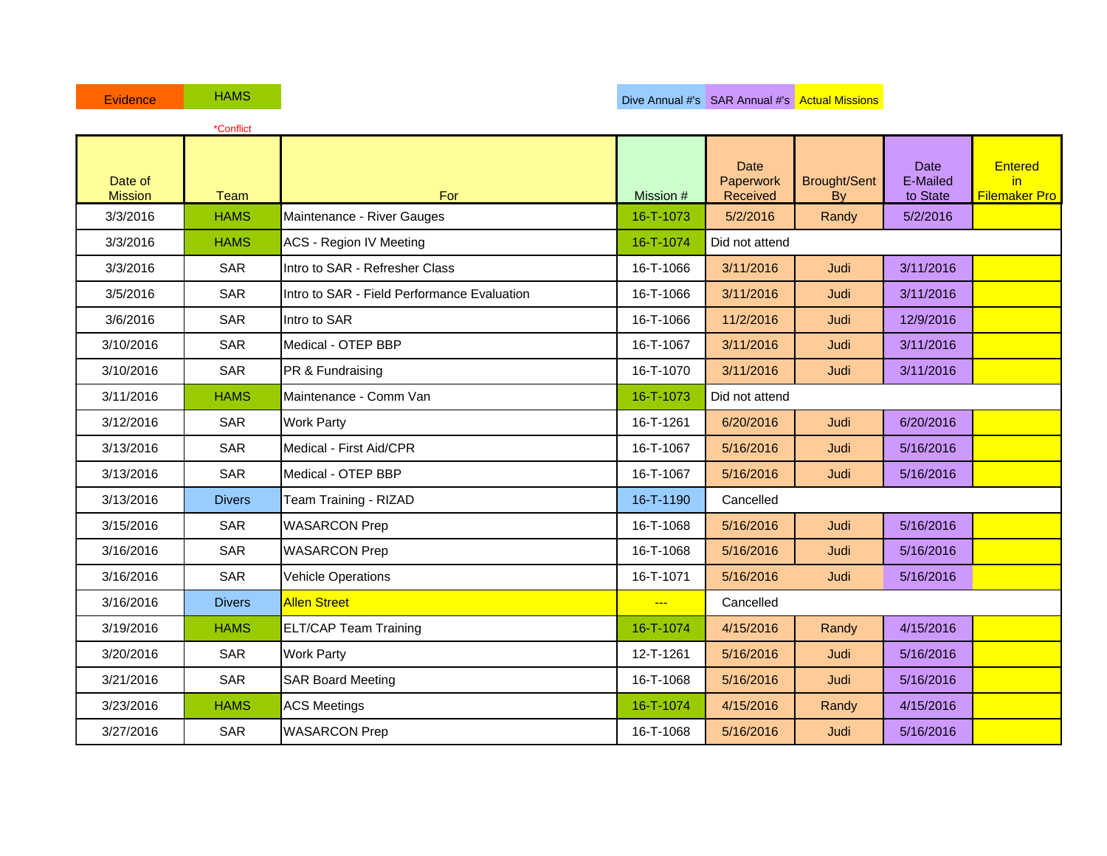| Evidence                  | <b>HAMS</b>   |                                             |                | Dive Annual #'s SAR Annual #'s Actual Missions |                           |                              |                                               |
|---------------------------|---------------|---------------------------------------------|----------------|------------------------------------------------|---------------------------|------------------------------|-----------------------------------------------|
|                           | *Conflict     |                                             |                |                                                |                           |                              |                                               |
| Date of<br><b>Mission</b> | Team          | For                                         | Mission #      | <b>Date</b><br>Paperwork<br>Received           | <b>Brought/Sent</b><br>By | Date<br>E-Mailed<br>to State | <b>Entered</b><br>in.<br><b>Filemaker Pro</b> |
| 3/3/2016                  | <b>HAMS</b>   | Maintenance - River Gauges                  | 16-T-1073      | 5/2/2016                                       | Randy                     | 5/2/2016                     |                                               |
| 3/3/2016                  | <b>HAMS</b>   | <b>ACS - Region IV Meeting</b>              | 16-T-1074      | Did not attend                                 |                           |                              |                                               |
| 3/3/2016                  | <b>SAR</b>    | Intro to SAR - Refresher Class              | 16-T-1066      | 3/11/2016                                      | Judi                      | 3/11/2016                    |                                               |
| 3/5/2016                  | <b>SAR</b>    | Intro to SAR - Field Performance Evaluation | 16-T-1066      | 3/11/2016                                      | Judi                      | 3/11/2016                    |                                               |
| 3/6/2016                  | <b>SAR</b>    | Intro to SAR                                | 16-T-1066      | 11/2/2016                                      | Judi                      | 12/9/2016                    |                                               |
| 3/10/2016                 | <b>SAR</b>    | Medical - OTEP BBP                          | 16-T-1067      | 3/11/2016                                      | Judi                      | 3/11/2016                    |                                               |
| 3/10/2016                 | SAR           | PR & Fundraising                            | 16-T-1070      | 3/11/2016                                      | Judi                      | 3/11/2016                    |                                               |
| 3/11/2016                 | <b>HAMS</b>   | Maintenance - Comm Van                      | 16-T-1073      | Did not attend                                 |                           |                              |                                               |
| 3/12/2016                 | <b>SAR</b>    | <b>Work Party</b>                           | 16-T-1261      | 6/20/2016                                      | Judi                      | 6/20/2016                    |                                               |
| 3/13/2016                 | <b>SAR</b>    | Medical - First Aid/CPR                     | 16-T-1067      | 5/16/2016                                      | Judi                      | 5/16/2016                    |                                               |
| 3/13/2016                 | <b>SAR</b>    | Medical - OTEP BBP                          | 16-T-1067      | 5/16/2016                                      | Judi                      | 5/16/2016                    |                                               |
| 3/13/2016                 | <b>Divers</b> | Team Training - RIZAD                       | 16-T-1190      | Cancelled                                      |                           |                              |                                               |
| 3/15/2016                 | SAR           | <b>WASARCON Prep</b>                        | 16-T-1068      | 5/16/2016                                      | Judi                      | 5/16/2016                    |                                               |
| 3/16/2016                 | <b>SAR</b>    | <b>WASARCON Prep</b>                        | 16-T-1068      | 5/16/2016                                      | Judi                      | 5/16/2016                    |                                               |
| 3/16/2016                 | <b>SAR</b>    | <b>Vehicle Operations</b>                   | 16-T-1071      | 5/16/2016                                      | Judi                      | 5/16/2016                    |                                               |
| 3/16/2016                 | <b>Divers</b> | <b>Allen Street</b>                         | $\overline{a}$ | Cancelled                                      |                           |                              |                                               |
| 3/19/2016                 | <b>HAMS</b>   | <b>ELT/CAP Team Training</b>                | 16-T-1074      | 4/15/2016                                      | Randy                     | 4/15/2016                    |                                               |
| 3/20/2016                 | <b>SAR</b>    | <b>Work Party</b>                           | 12-T-1261      | 5/16/2016                                      | Judi                      | 5/16/2016                    |                                               |
| 3/21/2016                 | <b>SAR</b>    | <b>SAR Board Meeting</b>                    | 16-T-1068      | 5/16/2016                                      | Judi                      | 5/16/2016                    |                                               |
| 3/23/2016                 | <b>HAMS</b>   | <b>ACS Meetings</b>                         | 16-T-1074      | 4/15/2016                                      | Randy                     | 4/15/2016                    |                                               |
| 3/27/2016                 | SAR           | <b>WASARCON Prep</b>                        | 16-T-1068      | 5/16/2016                                      | Judi                      | 5/16/2016                    |                                               |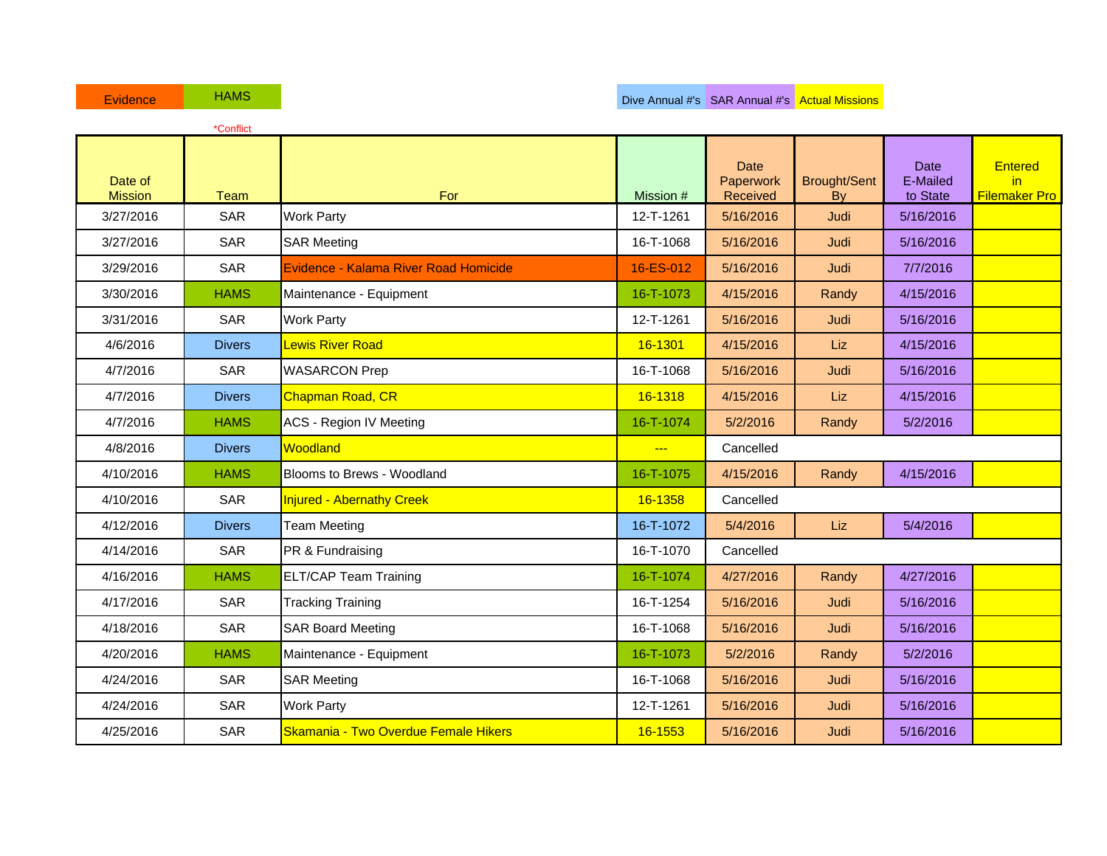| <b>Evidence</b>           | <b>HAMS</b>   |                                       |           | Dive Annual #'s SAR Annual #'s Actual Missions |                           |                                     |
|---------------------------|---------------|---------------------------------------|-----------|------------------------------------------------|---------------------------|-------------------------------------|
|                           | *Conflict     |                                       |           |                                                |                           |                                     |
| Date of<br><b>Mission</b> | Team          | For                                   | Mission # | <b>Date</b><br>Paperwork<br>Received           | <b>Brought/Sent</b><br>By | <b>Date</b><br>E-Mailed<br>to State |
| 3/27/2016                 | <b>SAR</b>    | <b>Work Party</b>                     | 12-T-1261 | 5/16/2016                                      | Judi                      | 5/16/2016                           |
| 3/27/2016                 | <b>SAR</b>    | <b>SAR Meeting</b>                    | 16-T-1068 | 5/16/2016                                      | Judi                      | 5/16/2016                           |
| 3/29/2016                 | <b>SAR</b>    | Evidence - Kalama River Road Homicide | 16-ES-012 | 5/16/2016                                      | Judi                      | 7/7/2016                            |
| 3/30/2016                 | <b>HAMS</b>   | Maintenance - Equipment               | 16-T-1073 | 4/15/2016                                      | Randy                     | 4/15/2016                           |
| 3/31/2016                 | <b>SAR</b>    | <b>Work Party</b>                     | 12-T-1261 | 5/16/2016                                      | Judi                      | 5/16/2016                           |
| 4/6/2016                  | <b>Divers</b> | <b>Lewis River Road</b>               | 16-1301   | 4/15/2016                                      | Liz                       | 4/15/2016                           |
| 4/7/2016                  | <b>SAR</b>    | <b>WASARCON Prep</b>                  | 16-T-1068 | 5/16/2016                                      | Judi                      | 5/16/2016                           |
| 4/7/2016                  | <b>Divers</b> | <b>Chapman Road, CR</b>               | 16-1318   | 4/15/2016                                      | Liz                       | 4/15/2016                           |
| 4/7/2016                  | <b>HAMS</b>   | <b>ACS - Region IV Meeting</b>        | 16-T-1074 | 5/2/2016                                       | Randy                     | 5/2/2016                            |
| 4/8/2016                  | <b>Divers</b> | Woodland                              | $- - -$   | Cancelled                                      |                           |                                     |
| 4/10/2016                 | <b>HAMS</b>   | Blooms to Brews - Woodland            | 16-T-1075 | 4/15/2016                                      | Randy                     | 4/15/2016                           |
| 4/10/2016                 | <b>SAR</b>    | <b>Injured - Abernathy Creek</b>      | 16-1358   | Cancelled                                      |                           |                                     |
| 4/12/2016                 | <b>Divers</b> | <b>Team Meeting</b>                   | 16-T-1072 | 5/4/2016                                       | <b>Liz</b>                | 5/4/2016                            |
| 4/14/2016                 | <b>SAR</b>    | PR & Fundraising                      | 16-T-1070 | Cancelled                                      |                           |                                     |
| 4/16/2016                 | <b>HAMS</b>   | <b>ELT/CAP Team Training</b>          | 16-T-1074 | 4/27/2016                                      | Randy                     | 4/27/2016                           |
| 4/17/2016                 | <b>SAR</b>    | <b>Tracking Training</b>              | 16-T-1254 | 5/16/2016                                      | Judi                      | 5/16/2016                           |
| 4/18/2016                 | <b>SAR</b>    | <b>SAR Board Meeting</b>              | 16-T-1068 | 5/16/2016                                      | Judi                      | 5/16/2016                           |
| 4/20/2016                 | <b>HAMS</b>   | Maintenance - Equipment               | 16-T-1073 | 5/2/2016                                       | Randy                     | 5/2/2016                            |

**Entered** in Filemaker Pro

4/24/2016 SAR SAR Meeting 16-T-1068 5/16/2016 Judi 5/16/2016 4/24/2016 SAR Work Party 12-T-1261 5/16/2016 Judi 5/16/2016 4/25/2016 | SAR Skamania - Two Overdue Female Hikers | 16-1553 | 5/16/2016 | Judi | 5/16/2016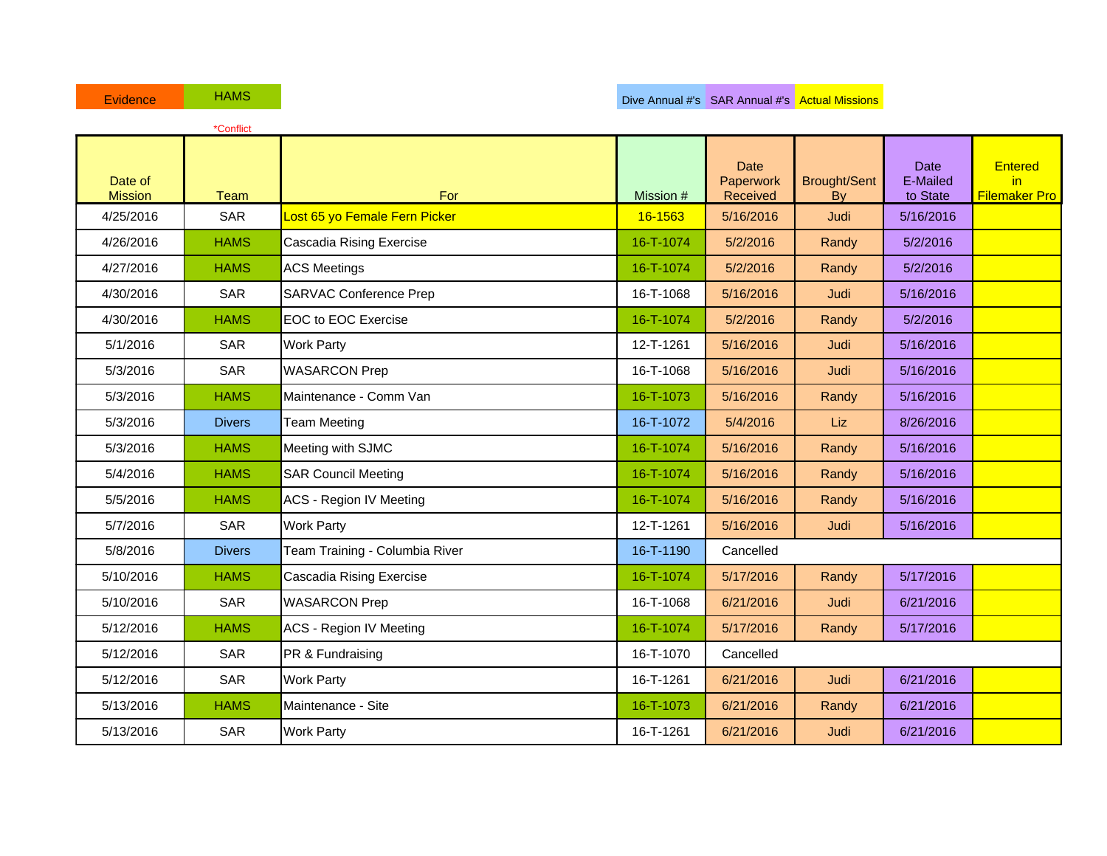| <b>Evidence</b>           | <b>HAMS</b>   |                                |           | Dive Annual #'s SAR Annual #'s Actual Missions |                           |                              |                                               |
|---------------------------|---------------|--------------------------------|-----------|------------------------------------------------|---------------------------|------------------------------|-----------------------------------------------|
|                           | *Conflict     |                                |           |                                                |                           |                              |                                               |
| Date of<br><b>Mission</b> | <b>Team</b>   | <b>For</b>                     | Mission # | <b>Date</b><br>Paperwork<br>Received           | <b>Brought/Sent</b><br>By | Date<br>E-Mailed<br>to State | <b>Entered</b><br>in.<br><b>Filemaker Pro</b> |
| 4/25/2016                 | <b>SAR</b>    | Lost 65 yo Female Fern Picker  | 16-1563   | 5/16/2016                                      | Judi                      | 5/16/2016                    |                                               |
| 4/26/2016                 | <b>HAMS</b>   | Cascadia Rising Exercise       | 16-T-1074 | 5/2/2016                                       | Randy                     | 5/2/2016                     |                                               |
| 4/27/2016                 | <b>HAMS</b>   | <b>ACS Meetings</b>            | 16-T-1074 | 5/2/2016                                       | Randy                     | 5/2/2016                     |                                               |
| 4/30/2016                 | <b>SAR</b>    | <b>SARVAC Conference Prep</b>  | 16-T-1068 | 5/16/2016                                      | Judi                      | 5/16/2016                    |                                               |
| 4/30/2016                 | <b>HAMS</b>   | <b>EOC to EOC Exercise</b>     | 16-T-1074 | 5/2/2016                                       | Randy                     | 5/2/2016                     |                                               |
| 5/1/2016                  | <b>SAR</b>    | <b>Work Party</b>              | 12-T-1261 | 5/16/2016                                      | Judi                      | 5/16/2016                    |                                               |
| 5/3/2016                  | <b>SAR</b>    | <b>WASARCON Prep</b>           | 16-T-1068 | 5/16/2016                                      | Judi                      | 5/16/2016                    |                                               |
| 5/3/2016                  | <b>HAMS</b>   | Maintenance - Comm Van         | 16-T-1073 | 5/16/2016                                      | Randy                     | 5/16/2016                    |                                               |
| 5/3/2016                  | <b>Divers</b> | <b>Team Meeting</b>            | 16-T-1072 | 5/4/2016                                       | Liz                       | 8/26/2016                    |                                               |
| 5/3/2016                  | <b>HAMS</b>   | Meeting with SJMC              | 16-T-1074 | 5/16/2016                                      | Randy                     | 5/16/2016                    |                                               |
| 5/4/2016                  | <b>HAMS</b>   | <b>SAR Council Meeting</b>     | 16-T-1074 | 5/16/2016                                      | Randy                     | 5/16/2016                    |                                               |
| 5/5/2016                  | <b>HAMS</b>   | <b>ACS - Region IV Meeting</b> | 16-T-1074 | 5/16/2016                                      | Randy                     | 5/16/2016                    |                                               |
| 5/7/2016                  | <b>SAR</b>    | <b>Work Party</b>              | 12-T-1261 | 5/16/2016                                      | Judi                      | 5/16/2016                    |                                               |
| 5/8/2016                  | <b>Divers</b> | Team Training - Columbia River | 16-T-1190 | Cancelled                                      |                           |                              |                                               |
| 5/10/2016                 | <b>HAMS</b>   | Cascadia Rising Exercise       | 16-T-1074 | 5/17/2016                                      | Randy                     | 5/17/2016                    |                                               |
| 5/10/2016                 | <b>SAR</b>    | <b>WASARCON Prep</b>           | 16-T-1068 | 6/21/2016                                      | Judi                      | 6/21/2016                    |                                               |
| 5/12/2016                 | <b>HAMS</b>   | <b>ACS - Region IV Meeting</b> | 16-T-1074 | 5/17/2016                                      | Randy                     | 5/17/2016                    |                                               |
| 5/12/2016                 | <b>SAR</b>    | PR & Fundraising               | 16-T-1070 | Cancelled                                      |                           |                              |                                               |
| 5/12/2016                 | <b>SAR</b>    | <b>Work Party</b>              | 16-T-1261 | 6/21/2016                                      | Judi                      | 6/21/2016                    |                                               |
| 5/13/2016                 | <b>HAMS</b>   | Maintenance - Site             | 16-T-1073 | 6/21/2016                                      | Randy                     | 6/21/2016                    |                                               |
| 5/13/2016                 | <b>SAR</b>    | <b>Work Party</b>              | 16-T-1261 | 6/21/2016                                      | Judi                      | 6/21/2016                    |                                               |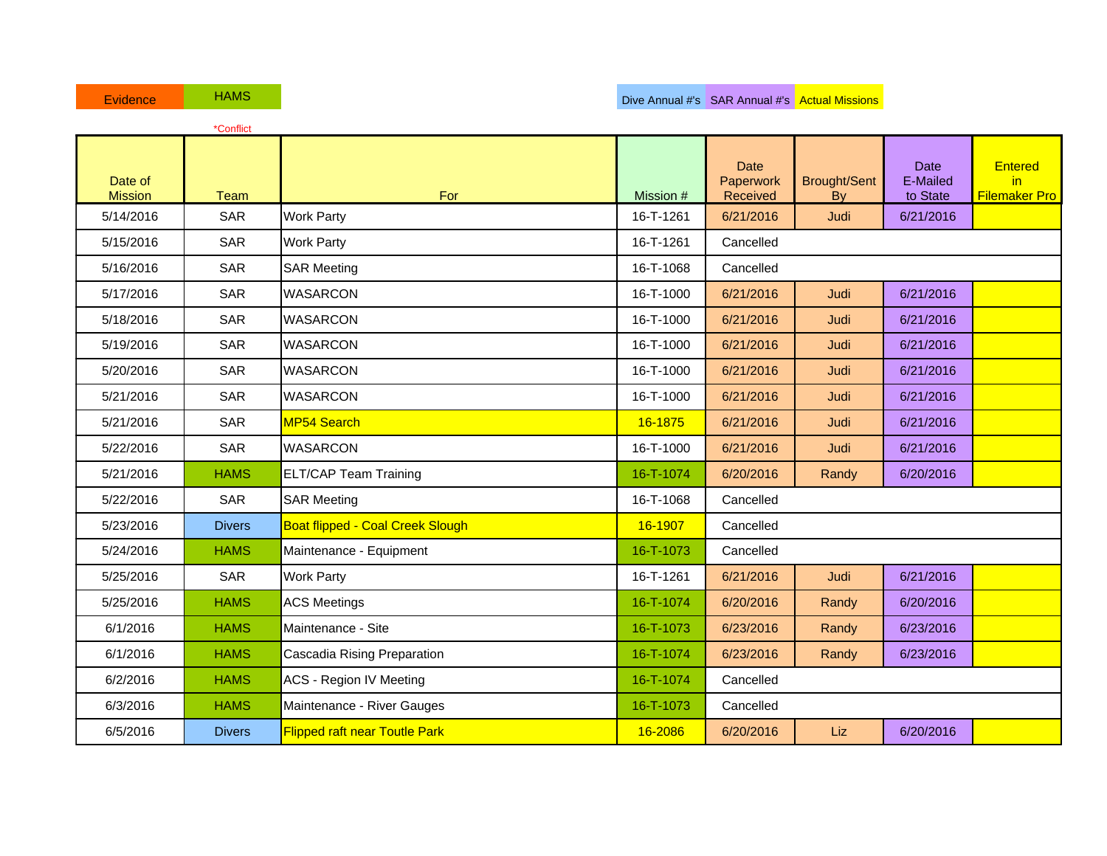|                           | *Conflict     |                                      |           |                                      |                           |                                            |                                              |
|---------------------------|---------------|--------------------------------------|-----------|--------------------------------------|---------------------------|--------------------------------------------|----------------------------------------------|
| Date of<br><b>Mission</b> | <b>Team</b>   | For                                  | Mission # | <b>Date</b><br>Paperwork<br>Received | <b>Brought/Sent</b><br>By | <b>Date</b><br><b>E-Mailed</b><br>to State | <b>Entered</b><br>in<br><b>Filemaker Pro</b> |
| 5/14/2016                 | <b>SAR</b>    | <b>Work Party</b>                    | 16-T-1261 | 6/21/2016                            | Judi                      | 6/21/2016                                  |                                              |
| 5/15/2016                 | <b>SAR</b>    | <b>Work Party</b>                    | 16-T-1261 | Cancelled                            |                           |                                            |                                              |
| 5/16/2016                 | <b>SAR</b>    | <b>SAR Meeting</b>                   | 16-T-1068 | Cancelled                            |                           |                                            |                                              |
| 5/17/2016                 | <b>SAR</b>    | <b>WASARCON</b>                      | 16-T-1000 | 6/21/2016                            | Judi                      | 6/21/2016                                  |                                              |
| 5/18/2016                 | <b>SAR</b>    | <b>WASARCON</b>                      | 16-T-1000 | 6/21/2016                            | Judi                      | 6/21/2016                                  |                                              |
| 5/19/2016                 | <b>SAR</b>    | <b>WASARCON</b>                      | 16-T-1000 | 6/21/2016                            | Judi                      | 6/21/2016                                  |                                              |
| 5/20/2016                 | <b>SAR</b>    | <b>WASARCON</b>                      | 16-T-1000 | 6/21/2016                            | Judi                      | 6/21/2016                                  |                                              |
| 5/21/2016                 | <b>SAR</b>    | <b>WASARCON</b>                      | 16-T-1000 | 6/21/2016                            | Judi                      | 6/21/2016                                  |                                              |
| 5/21/2016                 | <b>SAR</b>    | MP54 Search                          | 16-1875   | 6/21/2016                            | Judi                      | 6/21/2016                                  |                                              |
| 5/22/2016                 | SAR           | <b>WASARCON</b>                      | 16-T-1000 | 6/21/2016                            | Judi                      | 6/21/2016                                  |                                              |
| 5/21/2016                 | <b>HAMS</b>   | <b>ELT/CAP Team Training</b>         | 16-T-1074 | 6/20/2016                            | Randy                     | 6/20/2016                                  |                                              |
| 5/22/2016                 | SAR           | <b>SAR Meeting</b>                   | 16-T-1068 | Cancelled                            |                           |                                            |                                              |
| 5/23/2016                 | <b>Divers</b> | Boat flipped - Coal Creek Slough     | 16-1907   | Cancelled                            |                           |                                            |                                              |
| 5/24/2016                 | <b>HAMS</b>   | Maintenance - Equipment              | 16-T-1073 | Cancelled                            |                           |                                            |                                              |
| 5/25/2016                 | <b>SAR</b>    | <b>Work Party</b>                    | 16-T-1261 | 6/21/2016                            | Judi                      | 6/21/2016                                  |                                              |
| 5/25/2016                 | <b>HAMS</b>   | <b>ACS Meetings</b>                  | 16-T-1074 | 6/20/2016                            | Randy                     | 6/20/2016                                  |                                              |
| 6/1/2016                  | <b>HAMS</b>   | Maintenance - Site                   | 16-T-1073 | 6/23/2016                            | Randy                     | 6/23/2016                                  |                                              |
| 6/1/2016                  | <b>HAMS</b>   | Cascadia Rising Preparation          | 16-T-1074 | 6/23/2016                            | Randy                     | 6/23/2016                                  |                                              |
| 6/2/2016                  | <b>HAMS</b>   | <b>ACS - Region IV Meeting</b>       | 16-T-1074 | Cancelled                            |                           |                                            |                                              |
| 6/3/2016                  | <b>HAMS</b>   | Maintenance - River Gauges           | 16-T-1073 | Cancelled                            |                           |                                            |                                              |
| 6/5/2016                  | <b>Divers</b> | <b>Flipped raft near Toutle Park</b> | 16-2086   | 6/20/2016                            | Liz                       | 6/20/2016                                  |                                              |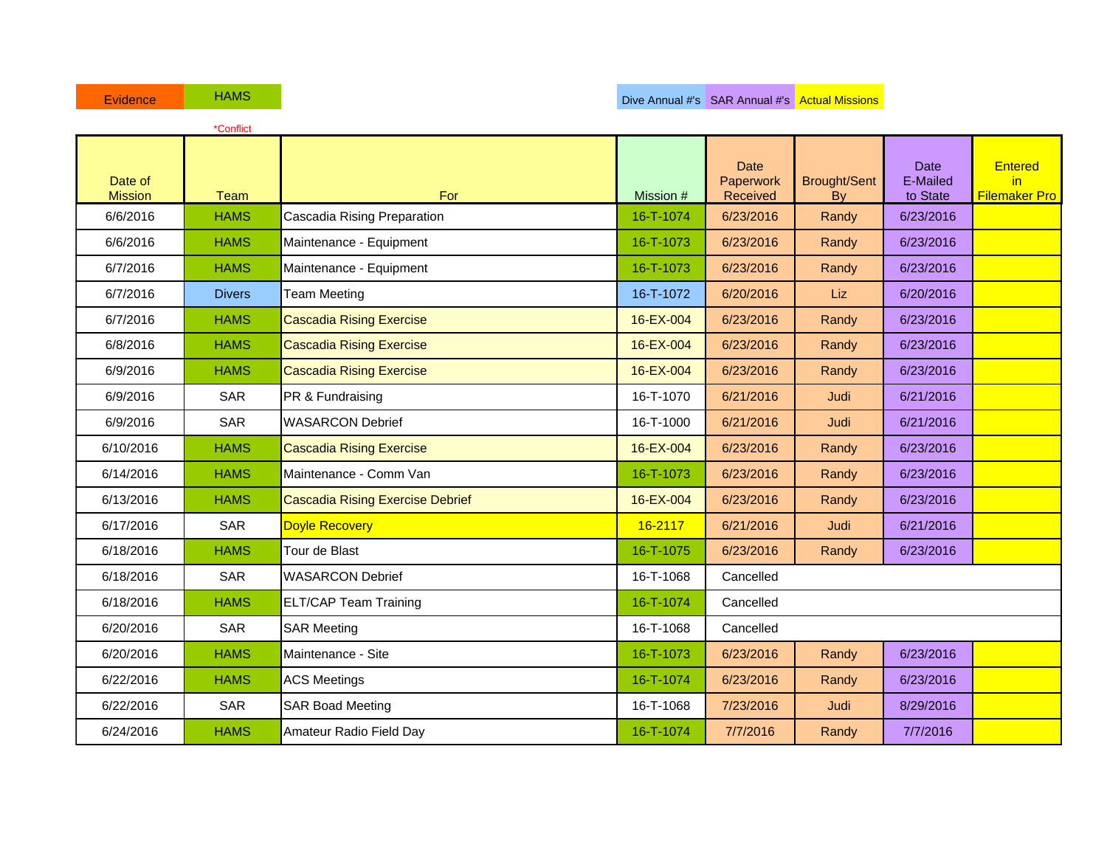| Evidence                  | <b>HAMS</b>   |                                         |           |                               | Dive Annual #'s SAR Annual #'s Actual Missions |                              |                                              |
|---------------------------|---------------|-----------------------------------------|-----------|-------------------------------|------------------------------------------------|------------------------------|----------------------------------------------|
|                           | *Conflict     |                                         |           |                               |                                                |                              |                                              |
| Date of<br><b>Mission</b> | <b>Team</b>   | For                                     | Mission # | Date<br>Paperwork<br>Received | <b>Brought/Sent</b><br>By                      | Date<br>E-Mailed<br>to State | <b>Entered</b><br>in<br><b>Filemaker Pro</b> |
| 6/6/2016                  | <b>HAMS</b>   | Cascadia Rising Preparation             | 16-T-1074 | 6/23/2016                     | Randy                                          | 6/23/2016                    |                                              |
| 6/6/2016                  | <b>HAMS</b>   | Maintenance - Equipment                 | 16-T-1073 | 6/23/2016                     | Randy                                          | 6/23/2016                    |                                              |
| 6/7/2016                  | <b>HAMS</b>   | Maintenance - Equipment                 | 16-T-1073 | 6/23/2016                     | Randy                                          | 6/23/2016                    |                                              |
| 6/7/2016                  | <b>Divers</b> | <b>Team Meeting</b>                     | 16-T-1072 | 6/20/2016                     | Liz                                            | 6/20/2016                    |                                              |
| 6/7/2016                  | <b>HAMS</b>   | <b>Cascadia Rising Exercise</b>         | 16-EX-004 | 6/23/2016                     | Randy                                          | 6/23/2016                    |                                              |
| 6/8/2016                  | <b>HAMS</b>   | <b>Cascadia Rising Exercise</b>         | 16-EX-004 | 6/23/2016                     | Randy                                          | 6/23/2016                    |                                              |
| 6/9/2016                  | <b>HAMS</b>   | <b>Cascadia Rising Exercise</b>         | 16-EX-004 | 6/23/2016                     | Randy                                          | 6/23/2016                    |                                              |
| 6/9/2016                  | <b>SAR</b>    | PR & Fundraising                        | 16-T-1070 | 6/21/2016                     | Judi                                           | 6/21/2016                    |                                              |
| 6/9/2016                  | <b>SAR</b>    | <b>WASARCON Debrief</b>                 | 16-T-1000 | 6/21/2016                     | Judi                                           | 6/21/2016                    |                                              |
| 6/10/2016                 | <b>HAMS</b>   | <b>Cascadia Rising Exercise</b>         | 16-EX-004 | 6/23/2016                     | Randy                                          | 6/23/2016                    |                                              |
| 6/14/2016                 | <b>HAMS</b>   | Maintenance - Comm Van                  | 16-T-1073 | 6/23/2016                     | Randy                                          | 6/23/2016                    |                                              |
| 6/13/2016                 | <b>HAMS</b>   | <b>Cascadia Rising Exercise Debrief</b> | 16-EX-004 | 6/23/2016                     | Randy                                          | 6/23/2016                    |                                              |
| 6/17/2016                 | <b>SAR</b>    | Doyle Recovery                          | 16-2117   | 6/21/2016                     | Judi                                           | 6/21/2016                    |                                              |
| 6/18/2016                 | <b>HAMS</b>   | Tour de Blast                           | 16-T-1075 | 6/23/2016                     | Randy                                          | 6/23/2016                    |                                              |
| 6/18/2016                 | <b>SAR</b>    | <b>WASARCON Debrief</b>                 | 16-T-1068 | Cancelled                     |                                                |                              |                                              |
| 6/18/2016                 | <b>HAMS</b>   | <b>ELT/CAP Team Training</b>            | 16-T-1074 | Cancelled                     |                                                |                              |                                              |
| 6/20/2016                 | <b>SAR</b>    | <b>SAR Meeting</b>                      | 16-T-1068 | Cancelled                     |                                                |                              |                                              |
| 6/20/2016                 | <b>HAMS</b>   | Maintenance - Site                      | 16-T-1073 | 6/23/2016                     | Randy                                          | 6/23/2016                    |                                              |
| 6/22/2016                 | <b>HAMS</b>   | <b>ACS Meetings</b>                     | 16-T-1074 | 6/23/2016                     | Randy                                          | 6/23/2016                    |                                              |
| 6/22/2016                 | <b>SAR</b>    | <b>SAR Boad Meeting</b>                 | 16-T-1068 | 7/23/2016                     | Judi                                           | 8/29/2016                    |                                              |
| 6/24/2016                 | <b>HAMS</b>   | Amateur Radio Field Day                 | 16-T-1074 | 7/7/2016                      | Randy                                          | 7/7/2016                     |                                              |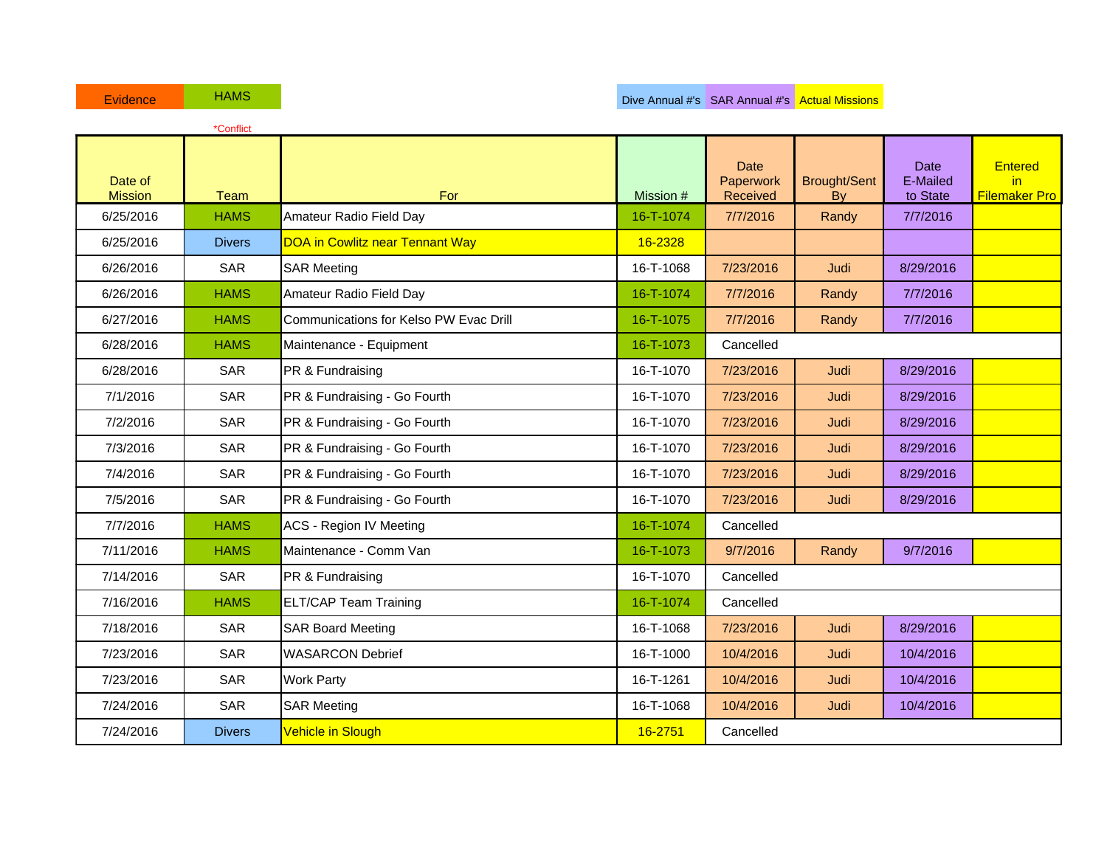| <b>Evidence</b>           | <b>HAMS</b>   |                                        |           | Dive Annual #'s SAR Annual #'s Actual Missions |                           |                              |                                               |
|---------------------------|---------------|----------------------------------------|-----------|------------------------------------------------|---------------------------|------------------------------|-----------------------------------------------|
|                           | *Conflict     |                                        |           |                                                |                           |                              |                                               |
| Date of<br><b>Mission</b> | <b>Team</b>   | <b>For</b>                             | Mission # | <b>Date</b><br>Paperwork<br>Received           | <b>Brought/Sent</b><br>Bv | Date<br>E-Mailed<br>to State | <b>Entered</b><br>in.<br><b>Filemaker Pro</b> |
| 6/25/2016                 | <b>HAMS</b>   | Amateur Radio Field Day                | 16-T-1074 | 7/7/2016                                       | Randy                     | 7/7/2016                     |                                               |
| 6/25/2016                 | <b>Divers</b> | <b>DOA in Cowlitz near Tennant Way</b> | 16-2328   |                                                |                           |                              |                                               |
| 6/26/2016                 | <b>SAR</b>    | <b>SAR Meeting</b>                     | 16-T-1068 | 7/23/2016                                      | Judi                      | 8/29/2016                    |                                               |
| 6/26/2016                 | <b>HAMS</b>   | Amateur Radio Field Day                | 16-T-1074 | 7/7/2016                                       | Randy                     | 7/7/2016                     |                                               |
| 6/27/2016                 | <b>HAMS</b>   | Communications for Kelso PW Evac Drill | 16-T-1075 | 7/7/2016                                       | Randy                     | 7/7/2016                     |                                               |
| 6/28/2016                 | <b>HAMS</b>   | Maintenance - Equipment                | 16-T-1073 | Cancelled                                      |                           |                              |                                               |
| 6/28/2016                 | <b>SAR</b>    | PR & Fundraising                       | 16-T-1070 | 7/23/2016                                      | Judi                      | 8/29/2016                    |                                               |
| 7/1/2016                  | <b>SAR</b>    | PR & Fundraising - Go Fourth           | 16-T-1070 | 7/23/2016                                      | Judi                      | 8/29/2016                    |                                               |
| 7/2/2016                  | <b>SAR</b>    | PR & Fundraising - Go Fourth           | 16-T-1070 | 7/23/2016                                      | Judi                      | 8/29/2016                    |                                               |
| 7/3/2016                  | <b>SAR</b>    | PR & Fundraising - Go Fourth           | 16-T-1070 | 7/23/2016                                      | Judi                      | 8/29/2016                    |                                               |
| 7/4/2016                  | <b>SAR</b>    | PR & Fundraising - Go Fourth           | 16-T-1070 | 7/23/2016                                      | Judi                      | 8/29/2016                    |                                               |
| 7/5/2016                  | <b>SAR</b>    | PR & Fundraising - Go Fourth           | 16-T-1070 | 7/23/2016                                      | Judi                      | 8/29/2016                    |                                               |
| 7/7/2016                  | <b>HAMS</b>   | <b>ACS - Region IV Meeting</b>         | 16-T-1074 | Cancelled                                      |                           |                              |                                               |
| 7/11/2016                 | <b>HAMS</b>   | Maintenance - Comm Van                 | 16-T-1073 | 9/7/2016                                       | Randy                     | 9/7/2016                     |                                               |
| 7/14/2016                 | <b>SAR</b>    | PR & Fundraising                       | 16-T-1070 | Cancelled                                      |                           |                              |                                               |
| 7/16/2016                 | <b>HAMS</b>   | <b>ELT/CAP Team Training</b>           | 16-T-1074 | Cancelled                                      |                           |                              |                                               |
| 7/18/2016                 | <b>SAR</b>    | <b>SAR Board Meeting</b>               | 16-T-1068 | 7/23/2016                                      | Judi                      | 8/29/2016                    |                                               |
| 7/23/2016                 | <b>SAR</b>    | <b>WASARCON Debrief</b>                | 16-T-1000 | 10/4/2016                                      | Judi                      | 10/4/2016                    |                                               |
| 7/23/2016                 | <b>SAR</b>    | <b>Work Party</b>                      | 16-T-1261 | 10/4/2016                                      | Judi                      | 10/4/2016                    |                                               |
| 7/24/2016                 | <b>SAR</b>    | <b>SAR Meeting</b>                     | 16-T-1068 | 10/4/2016                                      | Judi                      | 10/4/2016                    |                                               |
| 7/24/2016                 | <b>Divers</b> | Vehicle in Slough                      | 16-2751   | Cancelled                                      |                           |                              |                                               |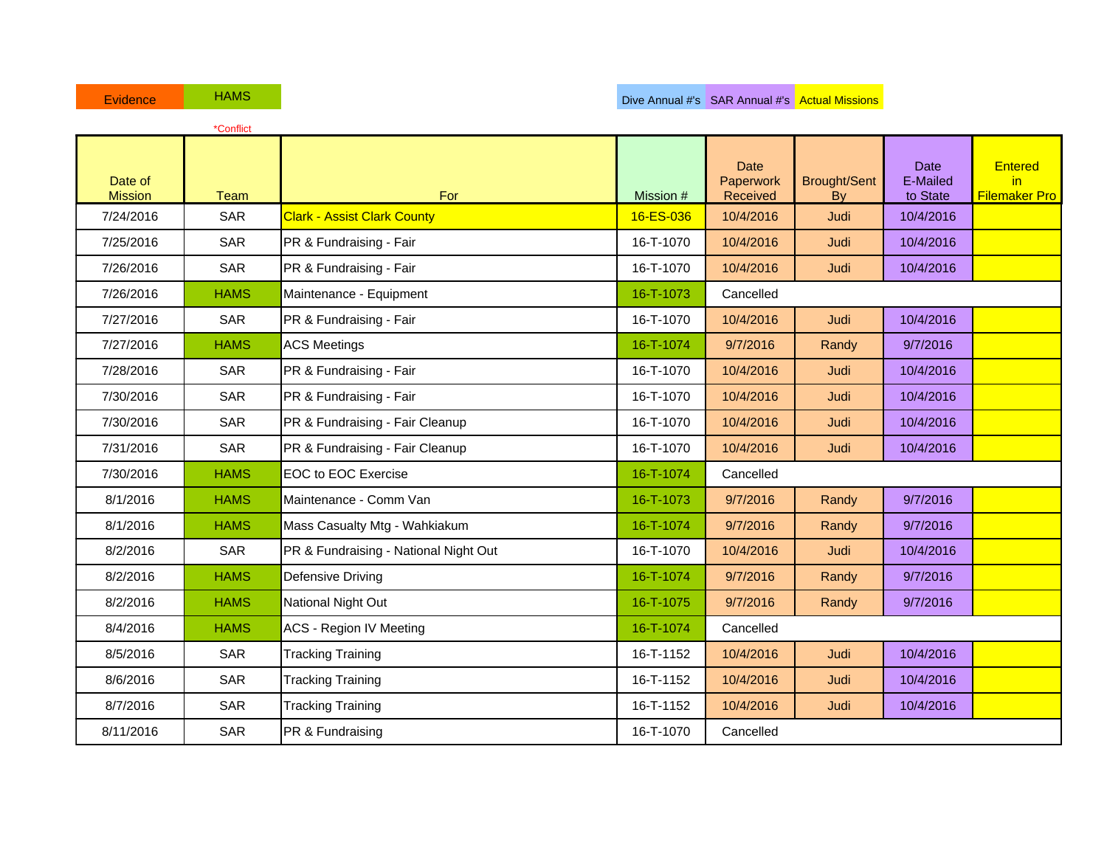| Evidence                  | <b>HAMS</b> |                                       |           | Dive Annual #'s SAR Annual #'s Actual Missions |                           |                                     |                                               |
|---------------------------|-------------|---------------------------------------|-----------|------------------------------------------------|---------------------------|-------------------------------------|-----------------------------------------------|
|                           | *Conflict   |                                       |           |                                                |                           |                                     |                                               |
| Date of<br><b>Mission</b> | <b>Team</b> | For                                   | Mission # | <b>Date</b><br>Paperwork<br>Received           | <b>Brought/Sent</b><br>By | <b>Date</b><br>E-Mailed<br>to State | <b>Entered</b><br>in.<br><b>Filemaker Pro</b> |
| 7/24/2016                 | <b>SAR</b>  | <b>Clark - Assist Clark County</b>    | 16-ES-036 | 10/4/2016                                      | Judi                      | 10/4/2016                           |                                               |
| 7/25/2016                 | <b>SAR</b>  | PR & Fundraising - Fair               | 16-T-1070 | 10/4/2016                                      | Judi                      | 10/4/2016                           |                                               |
| 7/26/2016                 | <b>SAR</b>  | PR & Fundraising - Fair               | 16-T-1070 | 10/4/2016                                      | Judi                      | 10/4/2016                           |                                               |
| 7/26/2016                 | <b>HAMS</b> | Maintenance - Equipment               | 16-T-1073 | Cancelled                                      |                           |                                     |                                               |
| 7/27/2016                 | <b>SAR</b>  | PR & Fundraising - Fair               | 16-T-1070 | 10/4/2016                                      | Judi                      | 10/4/2016                           |                                               |
| 7/27/2016                 | <b>HAMS</b> | <b>ACS Meetings</b>                   | 16-T-1074 | 9/7/2016                                       | Randy                     | 9/7/2016                            |                                               |
| 7/28/2016                 | <b>SAR</b>  | PR & Fundraising - Fair               | 16-T-1070 | 10/4/2016                                      | Judi                      | 10/4/2016                           |                                               |
| 7/30/2016                 | <b>SAR</b>  | PR & Fundraising - Fair               | 16-T-1070 | 10/4/2016                                      | Judi                      | 10/4/2016                           |                                               |
| 7/30/2016                 | <b>SAR</b>  | PR & Fundraising - Fair Cleanup       | 16-T-1070 | 10/4/2016                                      | Judi                      | 10/4/2016                           |                                               |
| 7/31/2016                 | <b>SAR</b>  | PR & Fundraising - Fair Cleanup       | 16-T-1070 | 10/4/2016                                      | Judi                      | 10/4/2016                           |                                               |
| 7/30/2016                 | <b>HAMS</b> | <b>EOC to EOC Exercise</b>            | 16-T-1074 | Cancelled                                      |                           |                                     |                                               |
| 8/1/2016                  | <b>HAMS</b> | Maintenance - Comm Van                | 16-T-1073 | 9/7/2016                                       | Randy                     | 9/7/2016                            |                                               |
| 8/1/2016                  | <b>HAMS</b> | Mass Casualty Mtg - Wahkiakum         | 16-T-1074 | 9/7/2016                                       | Randy                     | 9/7/2016                            |                                               |
| 8/2/2016                  | <b>SAR</b>  | PR & Fundraising - National Night Out | 16-T-1070 | 10/4/2016                                      | Judi                      | 10/4/2016                           |                                               |
| 8/2/2016                  | <b>HAMS</b> | Defensive Driving                     | 16-T-1074 | 9/7/2016                                       | Randy                     | 9/7/2016                            |                                               |
| 8/2/2016                  | <b>HAMS</b> | National Night Out                    | 16-T-1075 | 9/7/2016                                       | Randy                     | 9/7/2016                            |                                               |
| 8/4/2016                  | <b>HAMS</b> | <b>ACS - Region IV Meeting</b>        | 16-T-1074 | Cancelled                                      |                           |                                     |                                               |
| 8/5/2016                  | <b>SAR</b>  | <b>Tracking Training</b>              | 16-T-1152 | 10/4/2016                                      | Judi                      | 10/4/2016                           |                                               |
| 8/6/2016                  | <b>SAR</b>  | <b>Tracking Training</b>              | 16-T-1152 | 10/4/2016                                      | Judi                      | 10/4/2016                           |                                               |
| 8/7/2016                  | <b>SAR</b>  | <b>Tracking Training</b>              | 16-T-1152 | 10/4/2016                                      | Judi                      | 10/4/2016                           |                                               |
| 8/11/2016                 | SAR         | PR & Fundraising                      | 16-T-1070 | Cancelled                                      |                           |                                     |                                               |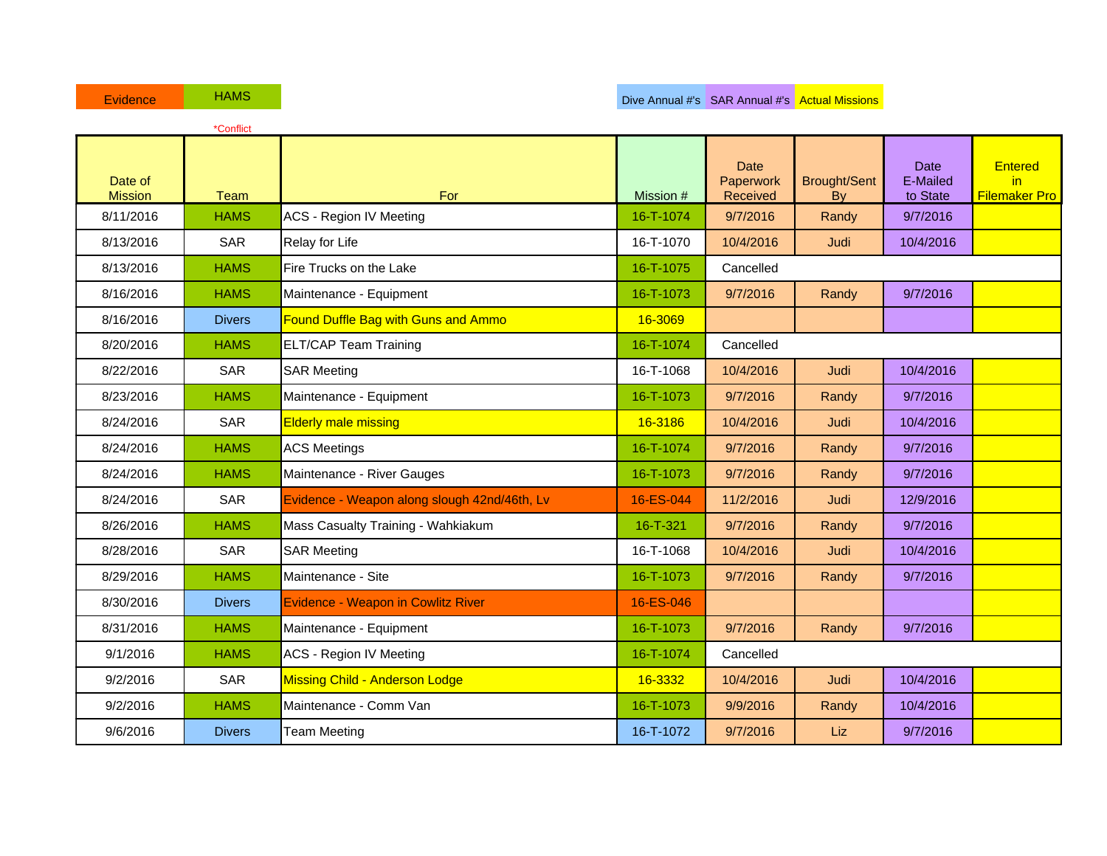| Evidence                  | <b>HAMS</b>   |                                              |                |                                      | Dive Annual #'s SAR Annual #'s Actual Missions |                                     |                                               |
|---------------------------|---------------|----------------------------------------------|----------------|--------------------------------------|------------------------------------------------|-------------------------------------|-----------------------------------------------|
|                           | *Conflict     |                                              |                |                                      |                                                |                                     |                                               |
| Date of<br><b>Mission</b> | Team          | For                                          | Mission #      | <b>Date</b><br>Paperwork<br>Received | <b>Brought/Sent</b><br>By                      | <b>Date</b><br>E-Mailed<br>to State | <b>Entered</b><br>in.<br><b>Filemaker Pro</b> |
| 8/11/2016                 | <b>HAMS</b>   | <b>ACS - Region IV Meeting</b>               | 16-T-1074      | 9/7/2016                             | Randy                                          | 9/7/2016                            |                                               |
| 8/13/2016                 | <b>SAR</b>    | Relay for Life                               | 16-T-1070      | 10/4/2016                            | Judi                                           | 10/4/2016                           |                                               |
| 8/13/2016                 | <b>HAMS</b>   | Fire Trucks on the Lake                      | 16-T-1075      | Cancelled                            |                                                |                                     |                                               |
| 8/16/2016                 | <b>HAMS</b>   | Maintenance - Equipment                      | 16-T-1073      | 9/7/2016                             | Randy                                          | 9/7/2016                            |                                               |
| 8/16/2016                 | <b>Divers</b> | <b>Found Duffle Bag with Guns and Ammo</b>   | 16-3069        |                                      |                                                |                                     |                                               |
| 8/20/2016                 | <b>HAMS</b>   | <b>ELT/CAP Team Training</b>                 | 16-T-1074      | Cancelled                            |                                                |                                     |                                               |
| 8/22/2016                 | <b>SAR</b>    | <b>SAR Meeting</b>                           | 16-T-1068      | 10/4/2016                            | Judi                                           | 10/4/2016                           |                                               |
| 8/23/2016                 | <b>HAMS</b>   | Maintenance - Equipment                      | 16-T-1073      | 9/7/2016                             | Randy                                          | 9/7/2016                            |                                               |
| 8/24/2016                 | <b>SAR</b>    | <b>Elderly male missing</b>                  | 16-3186        | 10/4/2016                            | Judi                                           | 10/4/2016                           |                                               |
| 8/24/2016                 | <b>HAMS</b>   | <b>ACS Meetings</b>                          | 16-T-1074      | 9/7/2016                             | Randy                                          | 9/7/2016                            |                                               |
| 8/24/2016                 | <b>HAMS</b>   | Maintenance - River Gauges                   | 16-T-1073      | 9/7/2016                             | Randy                                          | 9/7/2016                            |                                               |
| 8/24/2016                 | <b>SAR</b>    | Evidence - Weapon along slough 42nd/46th, Lv | 16-ES-044      | 11/2/2016                            | Judi                                           | 12/9/2016                           |                                               |
| 8/26/2016                 | <b>HAMS</b>   | Mass Casualty Training - Wahkiakum           | $16 - T - 321$ | 9/7/2016                             | Randy                                          | 9/7/2016                            |                                               |
| 8/28/2016                 | <b>SAR</b>    | <b>SAR Meeting</b>                           | 16-T-1068      | 10/4/2016                            | Judi                                           | 10/4/2016                           |                                               |
| 8/29/2016                 | <b>HAMS</b>   | Maintenance - Site                           | 16-T-1073      | 9/7/2016                             | Randy                                          | 9/7/2016                            |                                               |
| 8/30/2016                 | <b>Divers</b> | Evidence - Weapon in Cowlitz River           | 16-ES-046      |                                      |                                                |                                     |                                               |
| 8/31/2016                 | <b>HAMS</b>   | Maintenance - Equipment                      | 16-T-1073      | 9/7/2016                             | Randy                                          | 9/7/2016                            |                                               |
| 9/1/2016                  | <b>HAMS</b>   | <b>ACS - Region IV Meeting</b>               | 16-T-1074      | Cancelled                            |                                                |                                     |                                               |
| 9/2/2016                  | <b>SAR</b>    | <b>Missing Child - Anderson Lodge</b>        | 16-3332        | 10/4/2016                            | Judi                                           | 10/4/2016                           |                                               |
| 9/2/2016                  | <b>HAMS</b>   | Maintenance - Comm Van                       | 16-T-1073      | 9/9/2016                             | Randy                                          | 10/4/2016                           |                                               |
| 9/6/2016                  | <b>Divers</b> | <b>Team Meeting</b>                          | 16-T-1072      | 9/7/2016                             | Liz                                            | 9/7/2016                            |                                               |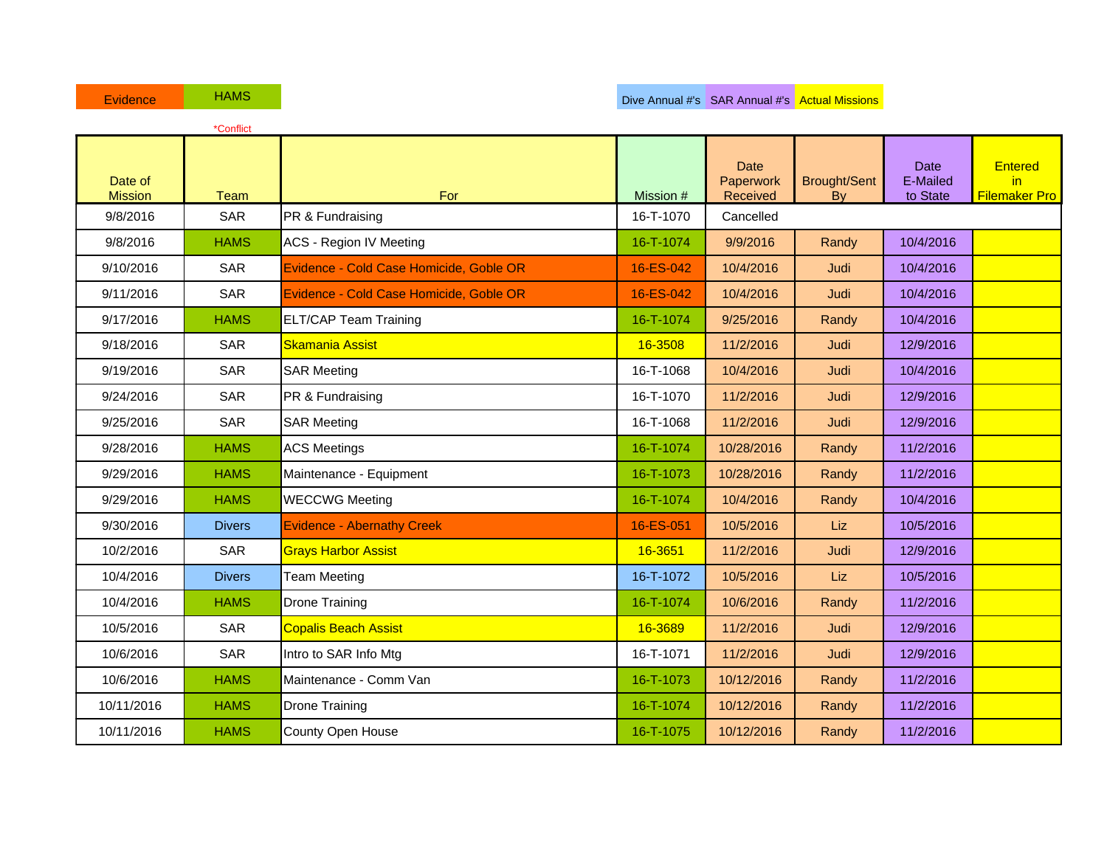|                           | *Conflict     |                                         |           |                                      |                                  |                                     |                                               |
|---------------------------|---------------|-----------------------------------------|-----------|--------------------------------------|----------------------------------|-------------------------------------|-----------------------------------------------|
| Date of<br><b>Mission</b> | Team          | For                                     | Mission # | <b>Date</b><br>Paperwork<br>Received | <b>Brought/Sent</b><br><b>Bv</b> | <b>Date</b><br>E-Mailed<br>to State | <b>Entered</b><br>in.<br><b>Filemaker Pro</b> |
| 9/8/2016                  | <b>SAR</b>    | PR & Fundraising                        | 16-T-1070 | Cancelled                            |                                  |                                     |                                               |
| 9/8/2016                  | <b>HAMS</b>   | <b>ACS - Region IV Meeting</b>          | 16-T-1074 | 9/9/2016                             | Randy                            | 10/4/2016                           |                                               |
| 9/10/2016                 | <b>SAR</b>    | Evidence - Cold Case Homicide, Goble OR | 16-ES-042 | 10/4/2016                            | Judi                             | 10/4/2016                           |                                               |
| 9/11/2016                 | <b>SAR</b>    | Evidence - Cold Case Homicide, Goble OR | 16-ES-042 | 10/4/2016                            | Judi                             | 10/4/2016                           |                                               |
| 9/17/2016                 | <b>HAMS</b>   | <b>ELT/CAP Team Training</b>            | 16-T-1074 | 9/25/2016                            | Randy                            | 10/4/2016                           |                                               |
| 9/18/2016                 | <b>SAR</b>    | <b>Skamania Assist</b>                  | 16-3508   | 11/2/2016                            | Judi                             | 12/9/2016                           |                                               |
| 9/19/2016                 | <b>SAR</b>    | <b>SAR Meeting</b>                      | 16-T-1068 | 10/4/2016                            | Judi                             | 10/4/2016                           |                                               |
| 9/24/2016                 | <b>SAR</b>    | PR & Fundraising                        | 16-T-1070 | 11/2/2016                            | Judi                             | 12/9/2016                           |                                               |
| 9/25/2016                 | <b>SAR</b>    | <b>SAR Meeting</b>                      | 16-T-1068 | 11/2/2016                            | Judi                             | 12/9/2016                           |                                               |
| 9/28/2016                 | <b>HAMS</b>   | <b>ACS Meetings</b>                     | 16-T-1074 | 10/28/2016                           | Randy                            | 11/2/2016                           |                                               |
| 9/29/2016                 | <b>HAMS</b>   | Maintenance - Equipment                 | 16-T-1073 | 10/28/2016                           | Randy                            | 11/2/2016                           |                                               |
| 9/29/2016                 | <b>HAMS</b>   | <b>WECCWG Meeting</b>                   | 16-T-1074 | 10/4/2016                            | Randy                            | 10/4/2016                           |                                               |
| 9/30/2016                 | <b>Divers</b> | <b>Evidence - Abernathy Creek</b>       | 16-ES-051 | 10/5/2016                            | Liz                              | 10/5/2016                           |                                               |
| 10/2/2016                 | <b>SAR</b>    | <b>Grays Harbor Assist</b>              | 16-3651   | 11/2/2016                            | Judi                             | 12/9/2016                           |                                               |
| 10/4/2016                 | <b>Divers</b> | <b>Team Meeting</b>                     | 16-T-1072 | 10/5/2016                            | Liz                              | 10/5/2016                           |                                               |
| 10/4/2016                 | <b>HAMS</b>   | <b>Drone Training</b>                   | 16-T-1074 | 10/6/2016                            | Randy                            | 11/2/2016                           |                                               |
| 10/5/2016                 | <b>SAR</b>    | <b>Copalis Beach Assist</b>             | 16-3689   | 11/2/2016                            | Judi                             | 12/9/2016                           |                                               |
| 10/6/2016                 | <b>SAR</b>    | Intro to SAR Info Mtg                   | 16-T-1071 | 11/2/2016                            | Judi                             | 12/9/2016                           |                                               |
| 10/6/2016                 | <b>HAMS</b>   | Maintenance - Comm Van                  | 16-T-1073 | 10/12/2016                           | Randy                            | 11/2/2016                           |                                               |
| 10/11/2016                | <b>HAMS</b>   | <b>Drone Training</b>                   | 16-T-1074 | 10/12/2016                           | Randy                            | 11/2/2016                           |                                               |
| 10/11/2016                | <b>HAMS</b>   | County Open House                       | 16-T-1075 | 10/12/2016                           | Randy                            | 11/2/2016                           |                                               |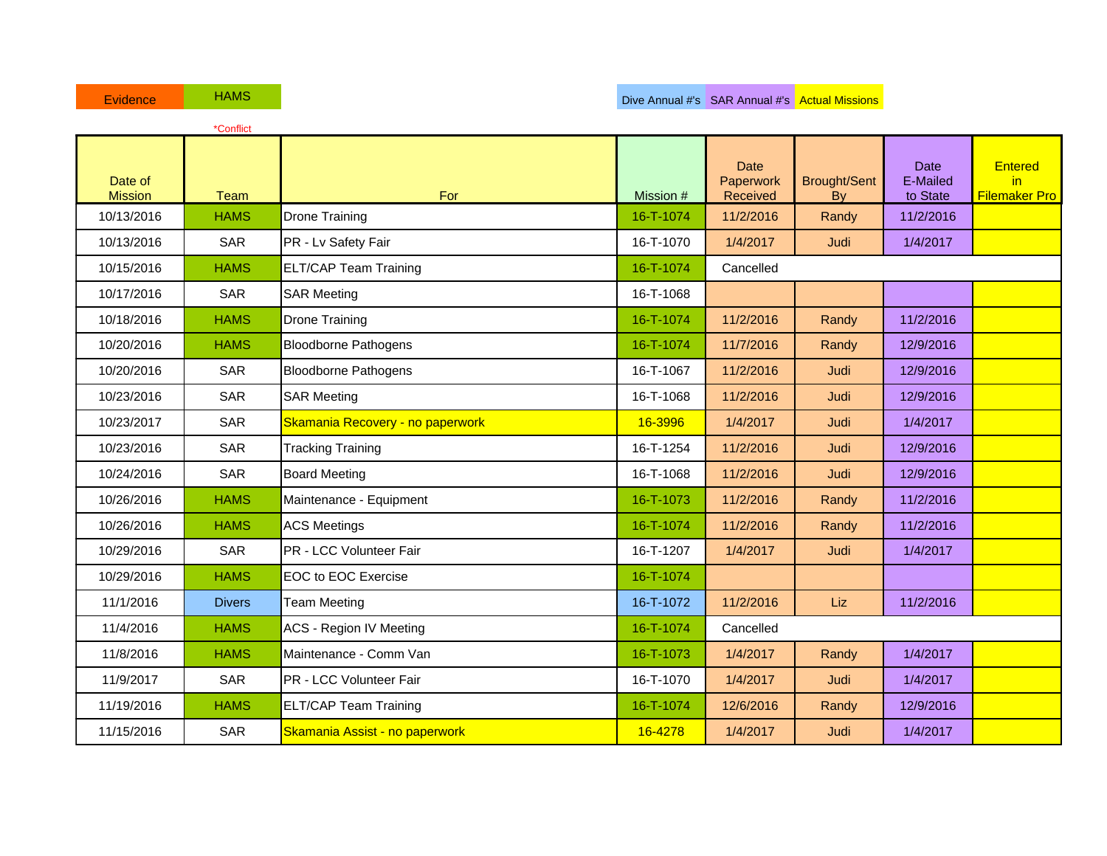| <b>Evidence</b>           | <b>HAMS</b>   |                                         |           | Dive Annual #'s SAR Annual #'s Actual Missions |                                        |                                     |                                              |
|---------------------------|---------------|-----------------------------------------|-----------|------------------------------------------------|----------------------------------------|-------------------------------------|----------------------------------------------|
|                           | *Conflict     |                                         |           |                                                |                                        |                                     |                                              |
| Date of<br><b>Mission</b> | Team          | For                                     | Mission # | <b>Date</b><br>Paperwork<br>Received           | <b>Brought/Sent</b><br>$\overline{By}$ | <b>Date</b><br>E-Mailed<br>to State | <b>Entered</b><br>in<br><b>Filemaker Pro</b> |
| 10/13/2016                | <b>HAMS</b>   | <b>Drone Training</b>                   | 16-T-1074 | 11/2/2016                                      | Randy                                  | 11/2/2016                           |                                              |
| 10/13/2016                | <b>SAR</b>    | PR - Lv Safety Fair                     | 16-T-1070 | 1/4/2017                                       | Judi                                   | 1/4/2017                            |                                              |
| 10/15/2016                | <b>HAMS</b>   | <b>ELT/CAP Team Training</b>            | 16-T-1074 | Cancelled                                      |                                        |                                     |                                              |
| 10/17/2016                | <b>SAR</b>    | <b>SAR Meeting</b>                      | 16-T-1068 |                                                |                                        |                                     |                                              |
| 10/18/2016                | <b>HAMS</b>   | Drone Training                          | 16-T-1074 | 11/2/2016                                      | Randy                                  | 11/2/2016                           |                                              |
| 10/20/2016                | <b>HAMS</b>   | <b>Bloodborne Pathogens</b>             | 16-T-1074 | 11/7/2016                                      | Randy                                  | 12/9/2016                           |                                              |
| 10/20/2016                | <b>SAR</b>    | <b>Bloodborne Pathogens</b>             | 16-T-1067 | 11/2/2016                                      | Judi                                   | 12/9/2016                           |                                              |
| 10/23/2016                | <b>SAR</b>    | <b>SAR Meeting</b>                      | 16-T-1068 | 11/2/2016                                      | Judi                                   | 12/9/2016                           |                                              |
| 10/23/2017                | <b>SAR</b>    | <b>Skamania Recovery - no paperwork</b> | 16-3996   | 1/4/2017                                       | Judi                                   | 1/4/2017                            |                                              |
| 10/23/2016                | <b>SAR</b>    | <b>Tracking Training</b>                | 16-T-1254 | 11/2/2016                                      | Judi                                   | 12/9/2016                           |                                              |
| 10/24/2016                | <b>SAR</b>    | <b>Board Meeting</b>                    | 16-T-1068 | 11/2/2016                                      | Judi                                   | 12/9/2016                           |                                              |
| 10/26/2016                | <b>HAMS</b>   | Maintenance - Equipment                 | 16-T-1073 | 11/2/2016                                      | Randy                                  | 11/2/2016                           |                                              |
| 10/26/2016                | <b>HAMS</b>   | <b>ACS Meetings</b>                     | 16-T-1074 | 11/2/2016                                      | Randy                                  | 11/2/2016                           |                                              |
| 10/29/2016                | <b>SAR</b>    | PR - LCC Volunteer Fair                 | 16-T-1207 | 1/4/2017                                       | Judi                                   | 1/4/2017                            |                                              |
| 10/29/2016                | <b>HAMS</b>   | <b>EOC to EOC Exercise</b>              | 16-T-1074 |                                                |                                        |                                     |                                              |
| 11/1/2016                 | <b>Divers</b> | <b>Team Meeting</b>                     | 16-T-1072 | 11/2/2016                                      | Liz                                    | 11/2/2016                           |                                              |
| 11/4/2016                 | <b>HAMS</b>   | <b>ACS - Region IV Meeting</b>          | 16-T-1074 | Cancelled                                      |                                        |                                     |                                              |
| 11/8/2016                 | <b>HAMS</b>   | Maintenance - Comm Van                  | 16-T-1073 | 1/4/2017                                       | Randy                                  | 1/4/2017                            |                                              |
| 11/9/2017                 | <b>SAR</b>    | PR - LCC Volunteer Fair                 | 16-T-1070 | 1/4/2017                                       | Judi                                   | 1/4/2017                            |                                              |
| 11/19/2016                | <b>HAMS</b>   | <b>ELT/CAP Team Training</b>            | 16-T-1074 | 12/6/2016                                      | Randy                                  | 12/9/2016                           |                                              |
| 11/15/2016                | <b>SAR</b>    | <b>Skamania Assist - no paperwork</b>   | 16-4278   | 1/4/2017                                       | Judi                                   | 1/4/2017                            |                                              |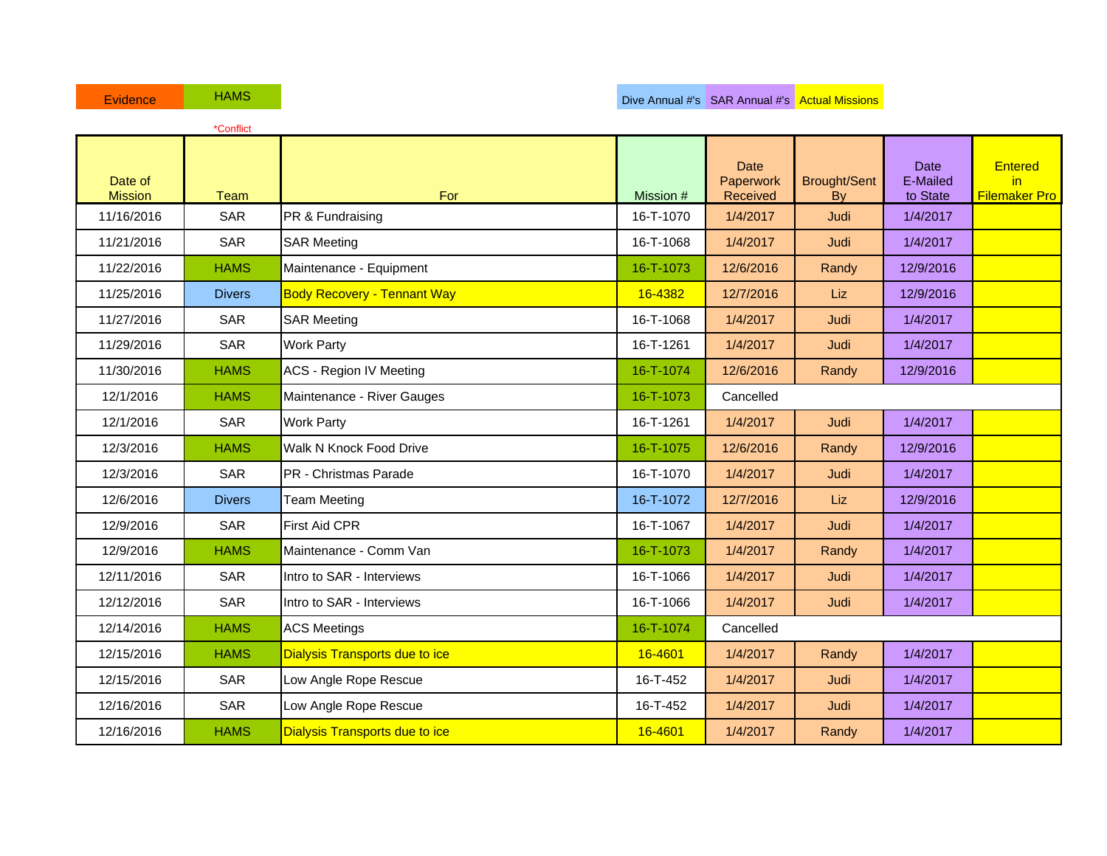|                           | *Conflict     |                                       |           |                                      |                           |                                     |                                              |
|---------------------------|---------------|---------------------------------------|-----------|--------------------------------------|---------------------------|-------------------------------------|----------------------------------------------|
| Date of<br><b>Mission</b> | <b>Team</b>   | For                                   | Mission # | <b>Date</b><br>Paperwork<br>Received | <b>Brought/Sent</b><br>By | <b>Date</b><br>E-Mailed<br>to State | <b>Entered</b><br>in<br><b>Filemaker Pro</b> |
| 11/16/2016                | <b>SAR</b>    | PR & Fundraising                      | 16-T-1070 | 1/4/2017                             | Judi                      | 1/4/2017                            |                                              |
| 11/21/2016                | <b>SAR</b>    | <b>SAR Meeting</b>                    | 16-T-1068 | 1/4/2017                             | Judi                      | 1/4/2017                            |                                              |
| 11/22/2016                | <b>HAMS</b>   | Maintenance - Equipment               | 16-T-1073 | 12/6/2016                            | Randy                     | 12/9/2016                           |                                              |
| 11/25/2016                | <b>Divers</b> | <b>Body Recovery - Tennant Way</b>    | 16-4382   | 12/7/2016                            | Liz                       | 12/9/2016                           |                                              |
| 11/27/2016                | <b>SAR</b>    | <b>SAR Meeting</b>                    | 16-T-1068 | 1/4/2017                             | Judi                      | 1/4/2017                            |                                              |
| 11/29/2016                | <b>SAR</b>    | <b>Work Party</b>                     | 16-T-1261 | 1/4/2017                             | Judi                      | 1/4/2017                            |                                              |
| 11/30/2016                | <b>HAMS</b>   | <b>ACS - Region IV Meeting</b>        | 16-T-1074 | 12/6/2016                            | Randy                     | 12/9/2016                           |                                              |
| 12/1/2016                 | <b>HAMS</b>   | Maintenance - River Gauges            | 16-T-1073 | Cancelled                            |                           |                                     |                                              |
| 12/1/2016                 | <b>SAR</b>    | <b>Work Party</b>                     | 16-T-1261 | 1/4/2017                             | Judi                      | 1/4/2017                            |                                              |
| 12/3/2016                 | <b>HAMS</b>   | Walk N Knock Food Drive               | 16-T-1075 | 12/6/2016                            | Randy                     | 12/9/2016                           |                                              |
| 12/3/2016                 | <b>SAR</b>    | PR - Christmas Parade                 | 16-T-1070 | 1/4/2017                             | Judi                      | 1/4/2017                            |                                              |
| 12/6/2016                 | <b>Divers</b> | <b>Team Meeting</b>                   | 16-T-1072 | 12/7/2016                            | Liz                       | 12/9/2016                           |                                              |
| 12/9/2016                 | SAR           | <b>First Aid CPR</b>                  | 16-T-1067 | 1/4/2017                             | Judi                      | 1/4/2017                            |                                              |
| 12/9/2016                 | <b>HAMS</b>   | Maintenance - Comm Van                | 16-T-1073 | 1/4/2017                             | Randy                     | 1/4/2017                            |                                              |
| 12/11/2016                | <b>SAR</b>    | Intro to SAR - Interviews             | 16-T-1066 | 1/4/2017                             | Judi                      | 1/4/2017                            |                                              |
| 12/12/2016                | <b>SAR</b>    | Intro to SAR - Interviews             | 16-T-1066 | 1/4/2017                             | Judi                      | 1/4/2017                            |                                              |
| 12/14/2016                | <b>HAMS</b>   | <b>ACS Meetings</b>                   | 16-T-1074 | Cancelled                            |                           |                                     |                                              |
| 12/15/2016                | <b>HAMS</b>   | <b>Dialysis Transports due to ice</b> | 16-4601   | 1/4/2017                             | Randy                     | 1/4/2017                            |                                              |
| 12/15/2016                | <b>SAR</b>    | Low Angle Rope Rescue                 | 16-T-452  | 1/4/2017                             | Judi                      | 1/4/2017                            |                                              |
| 12/16/2016                | <b>SAR</b>    | Low Angle Rope Rescue                 | 16-T-452  | 1/4/2017                             | Judi                      | 1/4/2017                            |                                              |
| 12/16/2016                | <b>HAMS</b>   | <b>Dialysis Transports due to ice</b> | 16-4601   | 1/4/2017                             | Randy                     | 1/4/2017                            |                                              |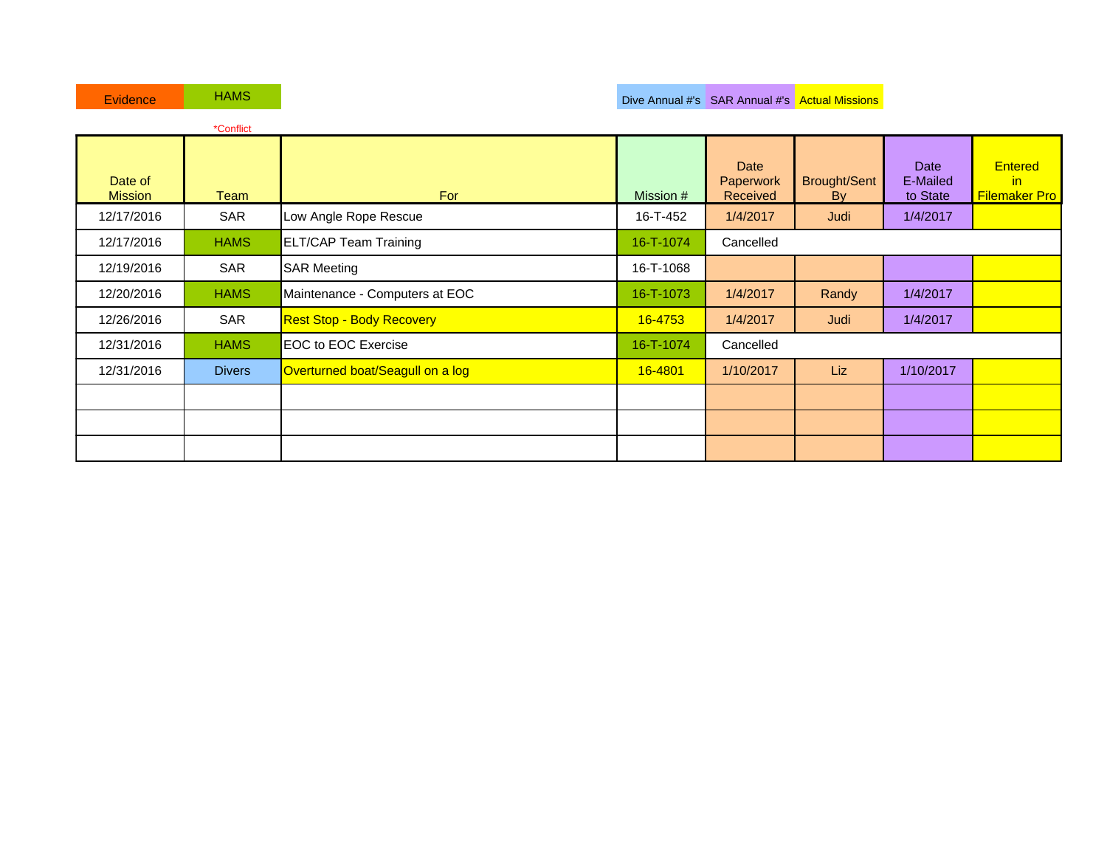| <b>Evidence</b>           | <b>HAMS</b>   |                                  |           | Dive Annual #'s SAR Annual #'s Actual Missions |                            |                                     |                                                         |
|---------------------------|---------------|----------------------------------|-----------|------------------------------------------------|----------------------------|-------------------------------------|---------------------------------------------------------|
|                           | *Conflict     |                                  |           |                                                |                            |                                     |                                                         |
| Date of<br><b>Mission</b> | Team          | For                              | Mission # | Date<br>Paperwork<br><b>Received</b>           | <b>Brought/Sent</b><br>By: | <b>Date</b><br>E-Mailed<br>to State | <b>Entered</b><br>$\mathsf{in}$<br><b>Filemaker Pro</b> |
| 12/17/2016                | <b>SAR</b>    | Low Angle Rope Rescue            | 16-T-452  | 1/4/2017                                       | Judi                       | 1/4/2017                            |                                                         |
| 12/17/2016                | <b>HAMS</b>   | <b>ELT/CAP Team Training</b>     | 16-T-1074 | Cancelled                                      |                            |                                     |                                                         |
| 12/19/2016                | SAR           | <b>SAR Meeting</b>               | 16-T-1068 |                                                |                            |                                     |                                                         |
| 12/20/2016                | <b>HAMS</b>   | Maintenance - Computers at EOC   | 16-T-1073 | 1/4/2017                                       | Randy                      | 1/4/2017                            |                                                         |
| 12/26/2016                | SAR           | <b>Rest Stop - Body Recovery</b> | 16-4753   | 1/4/2017                                       | Judi                       | 1/4/2017                            |                                                         |
| 12/31/2016                | <b>HAMS</b>   | <b>EOC to EOC Exercise</b>       | 16-T-1074 | Cancelled                                      |                            |                                     |                                                         |
| 12/31/2016                | <b>Divers</b> | Overturned boat/Seagull on a log | 16-4801   | 1/10/2017                                      | Liz                        | 1/10/2017                           |                                                         |
|                           |               |                                  |           |                                                |                            |                                     |                                                         |
|                           |               |                                  |           |                                                |                            |                                     |                                                         |
|                           |               |                                  |           |                                                |                            |                                     |                                                         |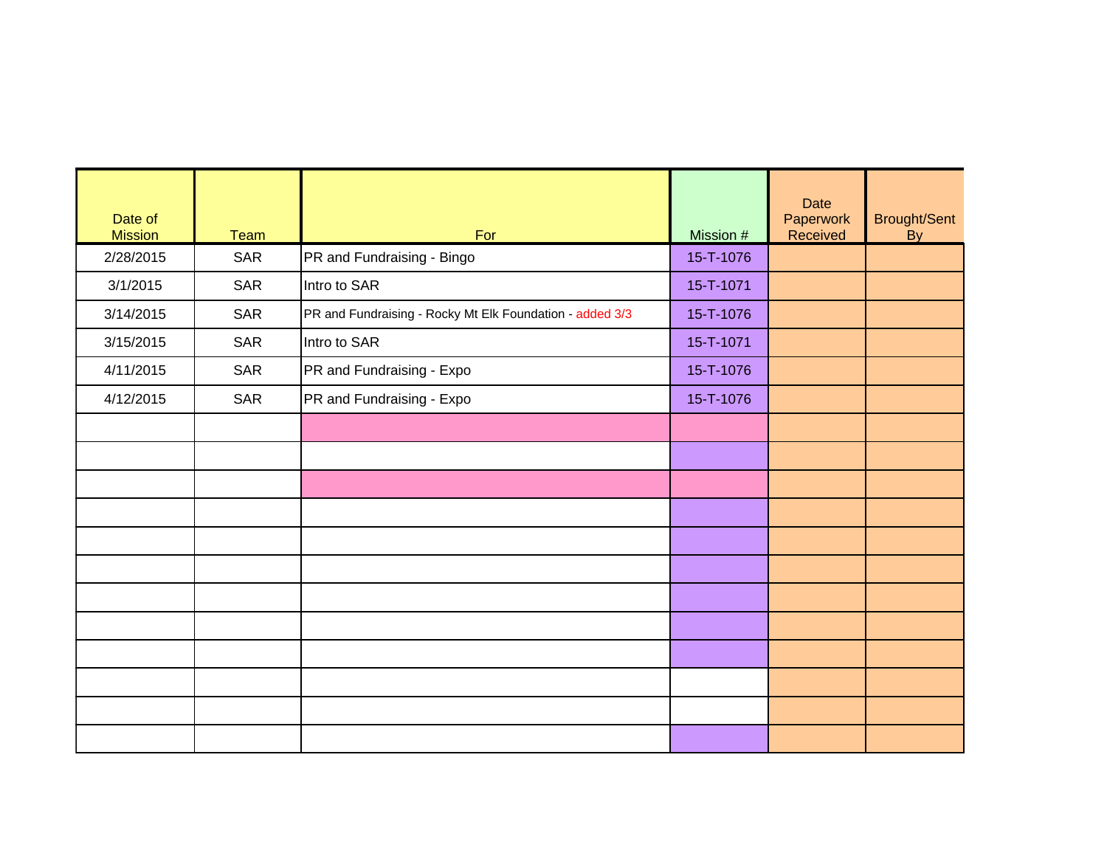| Date of<br><b>Mission</b> | <b>Team</b> | For                                                      | Mission # | <b>Date</b><br>Paperwork<br>Received | Brought/Sent<br>$\bar{B}y$ |
|---------------------------|-------------|----------------------------------------------------------|-----------|--------------------------------------|----------------------------|
| 2/28/2015                 | <b>SAR</b>  | PR and Fundraising - Bingo                               | 15-T-1076 |                                      |                            |
| 3/1/2015                  | <b>SAR</b>  | Intro to SAR                                             | 15-T-1071 |                                      |                            |
| 3/14/2015                 | <b>SAR</b>  | PR and Fundraising - Rocky Mt Elk Foundation - added 3/3 | 15-T-1076 |                                      |                            |
| 3/15/2015                 | <b>SAR</b>  | Intro to SAR                                             | 15-T-1071 |                                      |                            |
| 4/11/2015                 | <b>SAR</b>  | PR and Fundraising - Expo                                | 15-T-1076 |                                      |                            |
| 4/12/2015                 | <b>SAR</b>  | PR and Fundraising - Expo                                | 15-T-1076 |                                      |                            |
|                           |             |                                                          |           |                                      |                            |
|                           |             |                                                          |           |                                      |                            |
|                           |             |                                                          |           |                                      |                            |
|                           |             |                                                          |           |                                      |                            |
|                           |             |                                                          |           |                                      |                            |
|                           |             |                                                          |           |                                      |                            |
|                           |             |                                                          |           |                                      |                            |
|                           |             |                                                          |           |                                      |                            |
|                           |             |                                                          |           |                                      |                            |
|                           |             |                                                          |           |                                      |                            |
|                           |             |                                                          |           |                                      |                            |
|                           |             |                                                          |           |                                      |                            |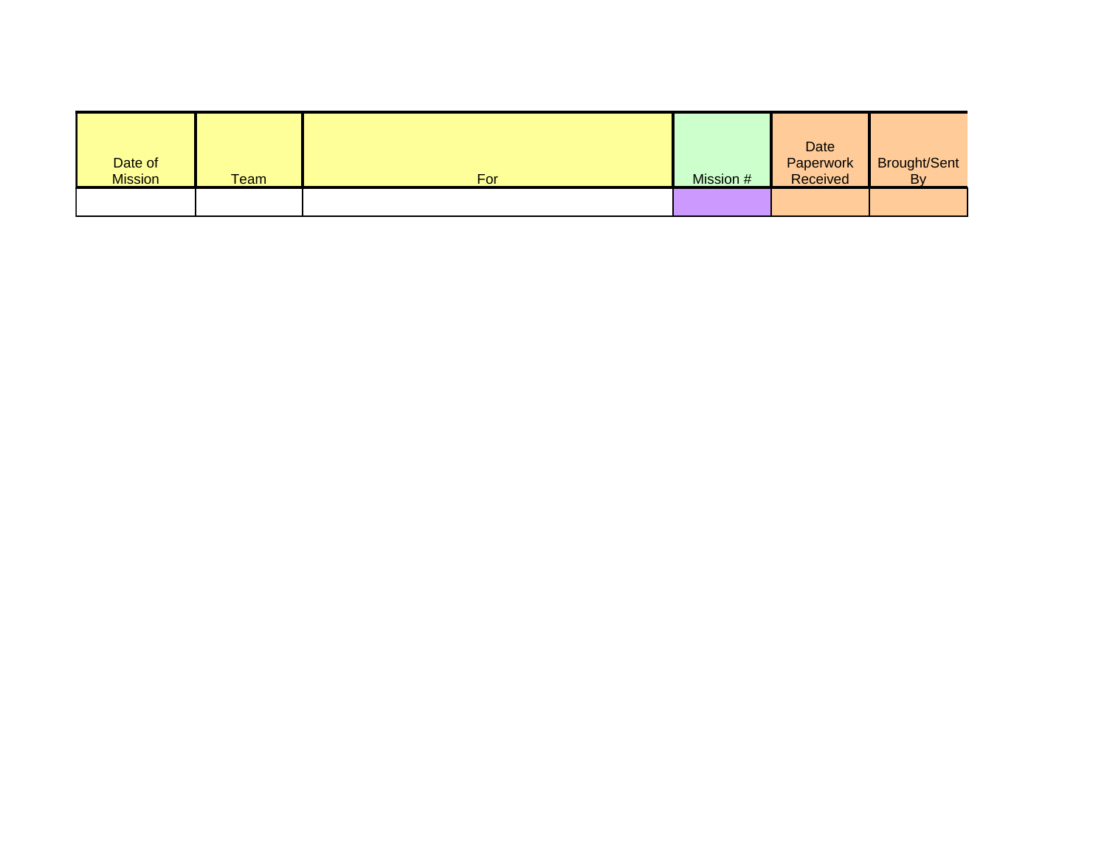| Date of<br><b>Mission</b> | Team | For | Mission # | Date<br>Paperwork<br>Received | Brought/Sent<br>By |
|---------------------------|------|-----|-----------|-------------------------------|--------------------|
|                           |      |     |           |                               |                    |